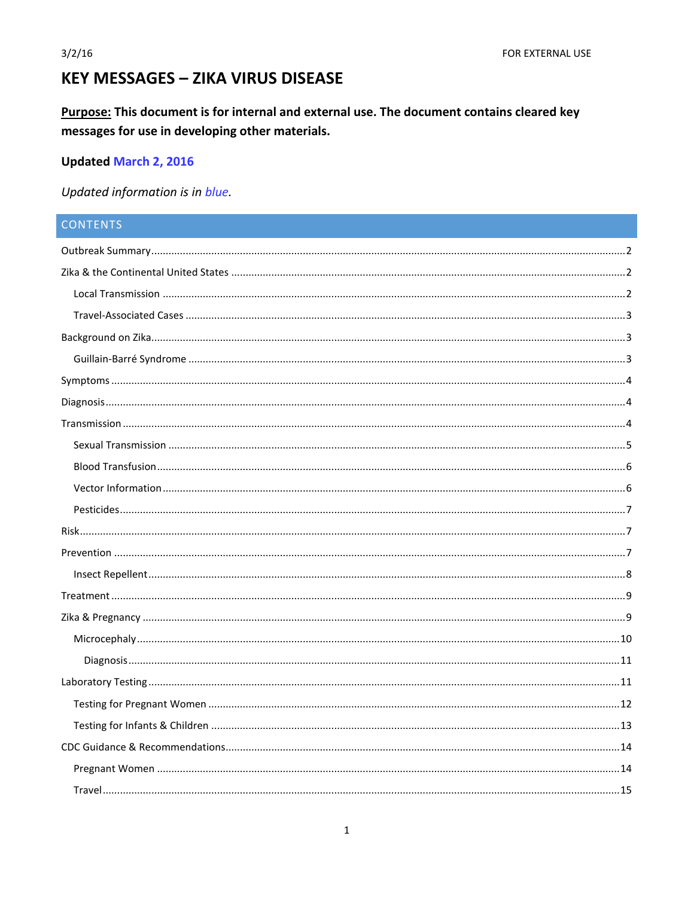# **KEY MESSAGES - ZIKA VIRUS DISEASE**

Purpose: This document is for internal and external use. The document contains cleared key messages for use in developing other materials.

# **Updated March 2, 2016**

Updated information is in blue.

# **CONTENTS**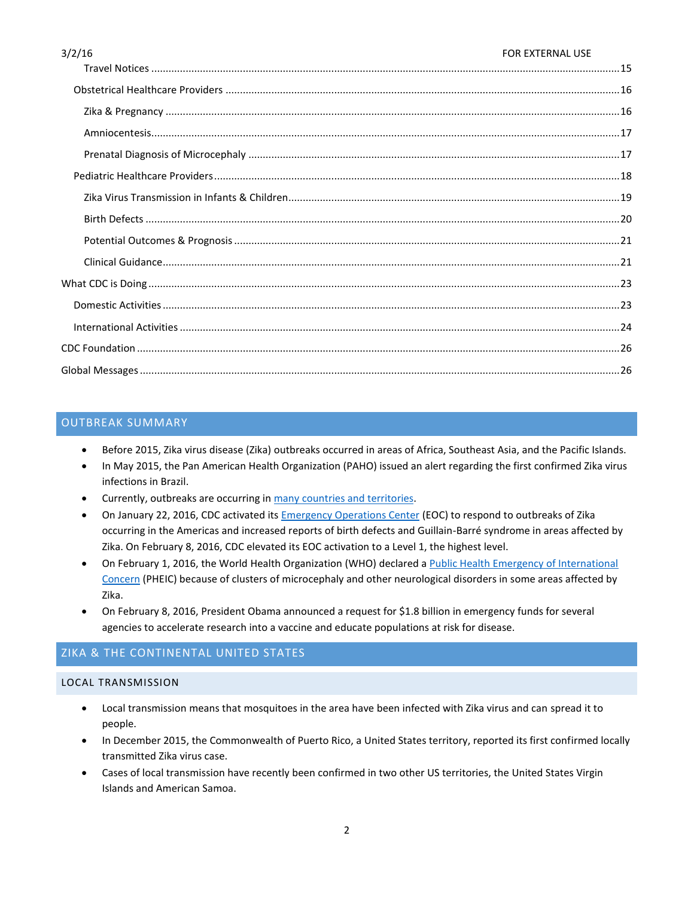| 3/2/16<br><b>FOR EXTERNAL USE</b> |  |
|-----------------------------------|--|
|                                   |  |
|                                   |  |
|                                   |  |
|                                   |  |
|                                   |  |
|                                   |  |
|                                   |  |
|                                   |  |
|                                   |  |
|                                   |  |
|                                   |  |
|                                   |  |
|                                   |  |
|                                   |  |
|                                   |  |

# <span id="page-1-0"></span>OUTBREAK SUMMARY

- Before 2015, Zika virus disease (Zika) outbreaks occurred in areas of Africa, Southeast Asia, and the Pacific Islands.
- In May 2015, the Pan American Health Organization (PAHO) issued an alert regarding the first confirmed Zika virus infections in Brazil.
- **•** Currently, outbreaks are occurring i[n many countries and territories.](http://www.cdc.gov/zika/geo/index.html)
- On January 22, 2016, CDC activated its **Emergency Operations Center** (EOC) to respond to outbreaks of Zika occurring in the Americas and increased reports of birth defects and Guillain-Barré syndrome in areas affected by Zika. On February 8, 2016, CDC elevated its EOC activation to a Level 1, the highest level.
- On February 1, 2016, the World Health Organization (WHO) declared a [Public Health Emergency of International](http://www.who.int/mediacentre/news/statements/2016/1st-emergency-committee-zika/en/)  [Concern](http://www.who.int/mediacentre/news/statements/2016/1st-emergency-committee-zika/en/) (PHEIC) because of clusters of microcephaly and other neurological disorders in some areas affected by Zika.
- On February 8, 2016, President Obama announced a request for \$1.8 billion in emergency funds for several agencies to accelerate research into a vaccine and educate populations at risk for disease.

# <span id="page-1-1"></span>ZIKA & THE CONTINENTAL UNITED STATES

# <span id="page-1-2"></span>LOCAL TRANSMISSION

- Local transmission means that mosquitoes in the area have been infected with Zika virus and can spread it to people.
- In December 2015, the Commonwealth of Puerto Rico, a United States territory, reported its first confirmed locally transmitted Zika virus case.
- Cases of local transmission have recently been confirmed in two other US territories, the United States Virgin Islands and American Samoa.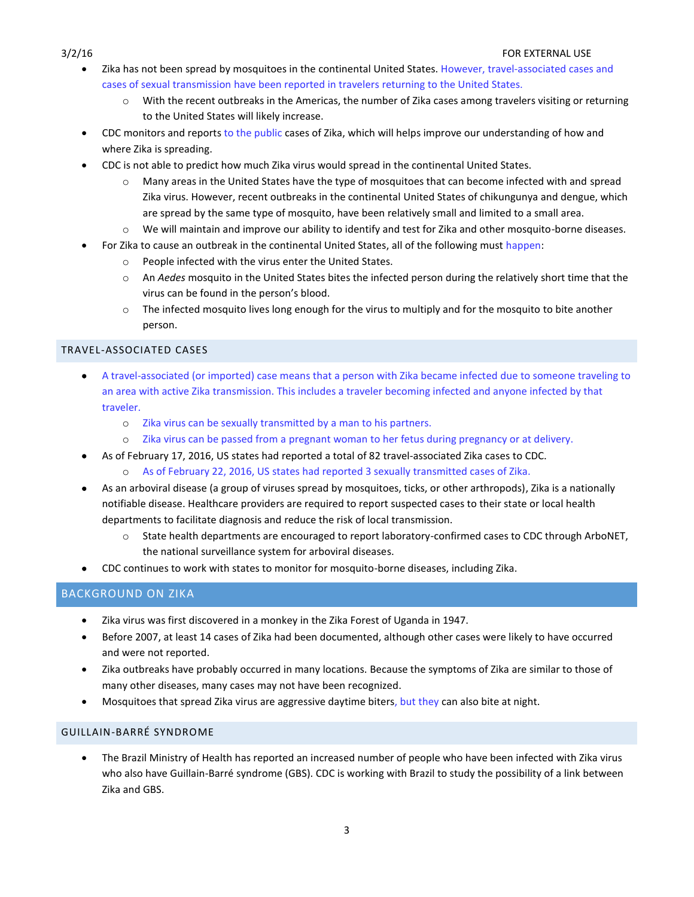- Zika has not been spread by mosquitoes in the continental United States. However, travel-associated cases and cases of sexual transmission have been reported in travelers returning to the United States.
	- $\circ$  With the recent outbreaks in the Americas, the number of Zika cases among travelers visiting or returning to the United States will likely increase.
- CDC monitors and reports to the public cases of Zika, which will helps improve our understanding of how and where Zika is spreading.
- CDC is not able to predict how much Zika virus would spread in the continental United States.
	- Many areas in the United States have the type of mosquitoes that can become infected with and spread Zika virus. However, recent outbreaks in the continental United States of chikungunya and dengue, which are spread by the same type of mosquito, have been relatively small and limited to a small area.
	- o We will maintain and improve our ability to identify and test for Zika and other mosquito-borne diseases.
- For Zika to cause an outbreak in the continental United States, all of the following must happen:
	- o People infected with the virus enter the United States.
	- o An *Aedes* mosquito in the United States bites the infected person during the relatively short time that the virus can be found in the person's blood.
	- o The infected mosquito lives long enough for the virus to multiply and for the mosquito to bite another person.

# <span id="page-2-0"></span>TRAVEL-ASSOCIATED CASES

- A travel-associated (or imported) case means that a person with Zika became infected due to someone traveling to an area with active Zika transmission. This includes a traveler becoming infected and anyone infected by that traveler.
	- o Zika virus can be sexually transmitted by a man to his partners.
	- o Zika virus can be passed from a pregnant woman to her fetus during pregnancy or at delivery.
- As of February 17, 2016, US states had reported a total of 82 travel-associated Zika cases to CDC.
	- o As of February 22, 2016, US states had reported 3 sexually transmitted cases of Zika.
- As an arboviral disease (a group of viruses spread by mosquitoes, ticks, or other arthropods), Zika is a nationally notifiable disease. Healthcare providers are required to report suspected cases to their state or local health departments to facilitate diagnosis and reduce the risk of local transmission.
	- o State health departments are encouraged to report laboratory-confirmed cases to CDC through ArboNET, the national surveillance system for arboviral diseases.
- CDC continues to work with states to monitor for mosquito-borne diseases, including Zika.

# <span id="page-2-1"></span>BACKGROUND ON ZIKA

- Zika virus was first discovered in a monkey in the Zika Forest of Uganda in 1947.
- Before 2007, at least 14 cases of Zika had been documented, although other cases were likely to have occurred and were not reported.
- Zika outbreaks have probably occurred in many locations. Because the symptoms of Zika are similar to those of many other diseases, many cases may not have been recognized.
- Mosquitoes that spread Zika virus are aggressive daytime biters, but they can also bite at night.

# <span id="page-2-2"></span>GUILLAIN-BARRÉ SYNDROME

 The Brazil Ministry of Health has reported an increased number of people who have been infected with Zika virus who also have Guillain-Barré syndrome (GBS). CDC is working with Brazil to study the possibility of a link between Zika and GBS.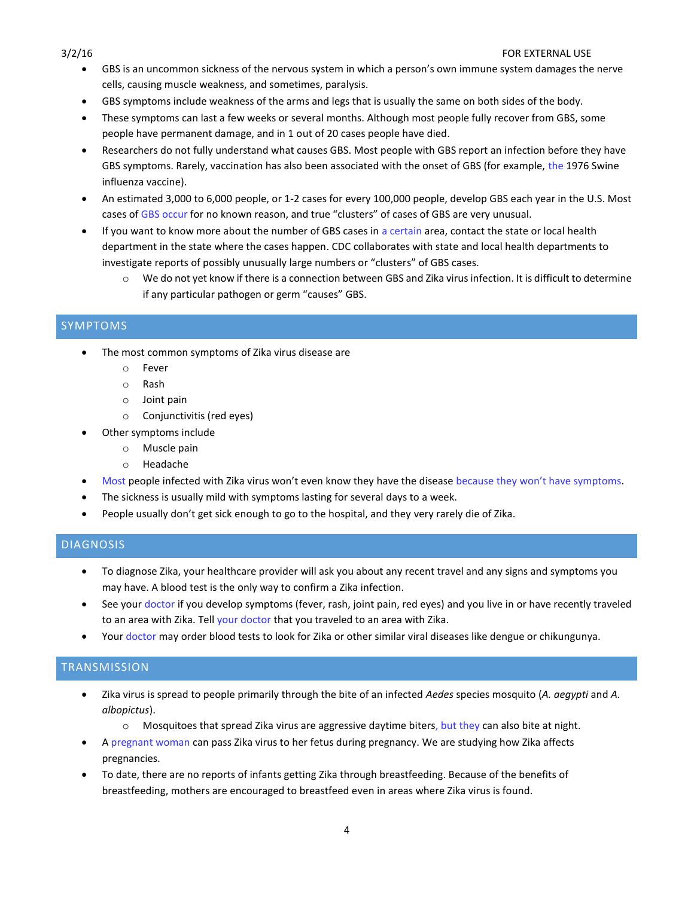- GBS is an uncommon sickness of the nervous system in which a person's own immune system damages the nerve cells, causing muscle weakness, and sometimes, paralysis.
- GBS symptoms include weakness of the arms and legs that is usually the same on both sides of the body.
- These symptoms can last a few weeks or several months. Although most people fully recover from GBS, some people have permanent damage, and in 1 out of 20 cases people have died.
- Researchers do not fully understand what causes GBS. Most people with GBS report an infection before they have GBS symptoms. Rarely, vaccination has also been associated with the onset of GBS (for example, the 1976 Swine influenza vaccine).
- An estimated 3,000 to 6,000 people, or 1-2 cases for every 100,000 people, develop GBS each year in the U.S. Most cases of GBS occur for no known reason, and true "clusters" of cases of GBS are very unusual.
- If you want to know more about the number of GBS cases in a certain area, contact the state or local health department in the state where the cases happen. CDC collaborates with state and local health departments to investigate reports of possibly unusually large numbers or "clusters" of GBS cases.
	- o We do not yet know if there is a connection between GBS and Zika virus infection. It is difficult to determine if any particular pathogen or germ "causes" GBS.

# <span id="page-3-0"></span>SYMPTOMS

- The most common symptoms of Zika virus disease are
	- o Fever
	- o Rash
	- o Joint pain
	- o Conjunctivitis (red eyes)
- Other symptoms include
	- o Muscle pain
	- o Headache
- Most people infected with Zika virus won't even know they have the disease because they won't have symptoms.
- The sickness is usually mild with symptoms lasting for several days to a week.
- People usually don't get sick enough to go to the hospital, and they very rarely die of Zika.

# <span id="page-3-1"></span>**DIAGNOSIS**

- To diagnose Zika, your healthcare provider will ask you about any recent travel and any signs and symptoms you may have. A blood test is the only way to confirm a Zika infection.
- See your doctor if you develop symptoms (fever, rash, joint pain, red eyes) and you live in or have recently traveled to an area with Zika. Tell your doctor that you traveled to an area with Zika.
- Your doctor may order blood tests to look for Zika or other similar viral diseases like dengue or chikungunya.

# <span id="page-3-2"></span>**TRANSMISSION**

- Zika virus is spread to people primarily through the bite of an infected *Aedes* species mosquito (*A. aegypti* and *A. albopictus*).
	- $\circ$  Mosquitoes that spread Zika virus are aggressive daytime biters, but they can also bite at night.
- A pregnant woman can pass Zika virus to her fetus during pregnancy. We are studying how Zika affects pregnancies.
- To date, there are no reports of infants getting Zika through breastfeeding. Because of the benefits of breastfeeding, mothers are encouraged to breastfeed even in areas where Zika virus is found.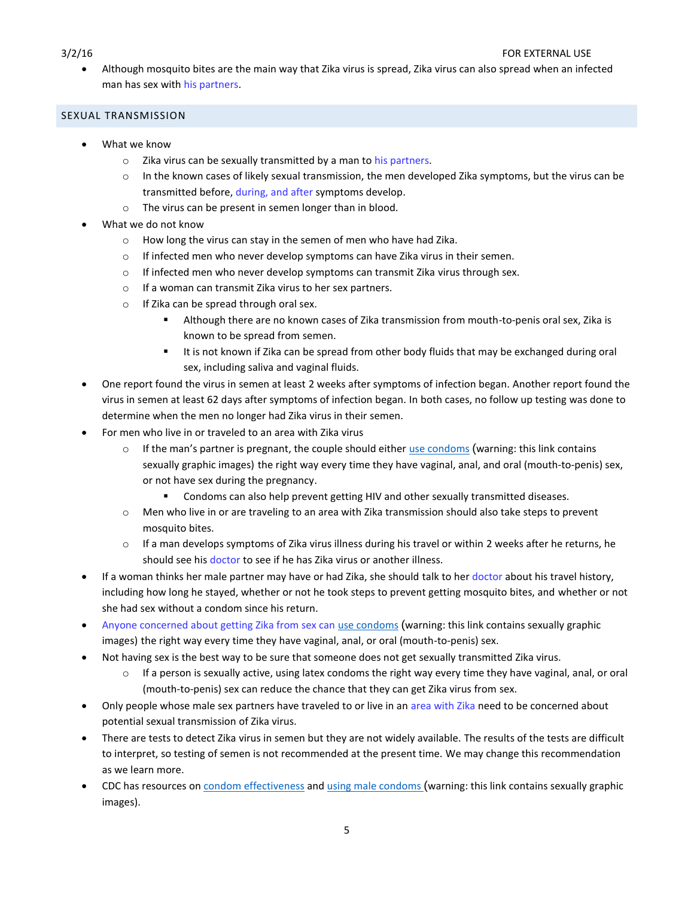Although mosquito bites are the main way that Zika virus is spread, Zika virus can also spread when an infected man has sex with his partners.

# <span id="page-4-0"></span>SEXUAL TRANSMISSION

- What we know
	- $\circ$  Zika virus can be sexually transmitted by a man to his partners.
	- $\circ$  In the known cases of likely sexual transmission, the men developed Zika symptoms, but the virus can be transmitted before, during, and after symptoms develop.
	- o The virus can be present in semen longer than in blood.
- What we do not know
	- o How long the virus can stay in the semen of men who have had Zika.
	- o If infected men who never develop symptoms can have Zika virus in their semen.
	- $\circ$  If infected men who never develop symptoms can transmit Zika virus through sex.
	- o If a woman can transmit Zika virus to her sex partners.
	- o If Zika can be spread through oral sex.
		- Although there are no known cases of Zika transmission from mouth-to-penis oral sex, Zika is known to be spread from semen.
		- It is not known if Zika can be spread from other body fluids that may be exchanged during oral sex, including saliva and vaginal fluids.
- One report found the virus in semen at least 2 weeks after symptoms of infection began. Another report found the virus in semen at least 62 days after symptoms of infection began. In both cases, no follow up testing was done to determine when the men no longer had Zika virus in their semen.
- For men who live in or traveled to an area with Zika virus
	- $\circ$  If the man's partner is pregnant, the couple should either [use condoms](http://www.cdc.gov/condomeffectiveness/male-condom-use.html) (warning: this link contains sexually graphic images) the right way every time they have vaginal, anal, and oral (mouth-to-penis) sex, or not have sex during the pregnancy.
		- Condoms can also help prevent getting HIV and other sexually transmitted diseases.
	- o Men who live in or are traveling to an area with Zika transmission should also take steps to prevent mosquito bites.
	- $\circ$  If a man develops symptoms of Zika virus illness during his travel or within 2 weeks after he returns, he should see his doctor to see if he has Zika virus or another illness.
- If a woman thinks her male partner may have or had Zika, she should talk to her doctor about his travel history, including how long he stayed, whether or not he took steps to prevent getting mosquito bites, and whether or not she had sex without a condom since his return.
- Anyone concerned about getting Zika from sex can [use condoms](http://www.cdc.gov/condomeffectiveness/male-condom-use.html) (warning: this link contains sexually graphic images) the right way every time they have vaginal, anal, or oral (mouth-to-penis) sex.
- Not having sex is the best way to be sure that someone does not get sexually transmitted Zika virus.
	- $\circ$  If a person is sexually active, using latex condoms the right way every time they have vaginal, anal, or oral (mouth-to-penis) sex can reduce the chance that they can get Zika virus from sex.
- Only people whose male sex partners have traveled to or live in an area with Zika need to be concerned about potential sexual transmission of Zika virus.
- There are tests to detect Zika virus in semen but they are not widely available. The results of the tests are difficult to interpret, so testing of semen is not recommended at the present time. We may change this recommendation as we learn more.
- CDC has resources on [condom effectiveness](http://www.cdc.gov/condomeffectiveness/index.html) an[d using male condoms](http://www.cdc.gov/condomeffectiveness/male-condom-use.html) (warning: this link contains sexually graphic images).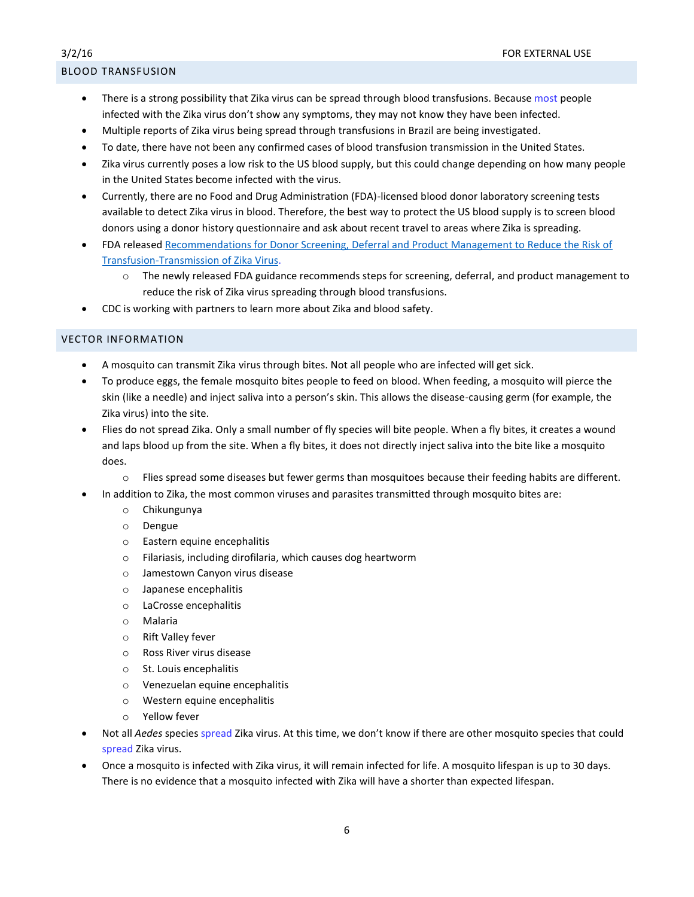# <span id="page-5-0"></span>BLOOD TRANSFUSION

- There is a strong possibility that Zika virus can be spread through blood transfusions. Because most people infected with the Zika virus don't show any symptoms, they may not know they have been infected.
- Multiple reports of Zika virus being spread through transfusions in Brazil are being investigated.
- To date, there have not been any confirmed cases of blood transfusion transmission in the United States.
- Zika virus currently poses a low risk to the US blood supply, but this could change depending on how many people in the United States become infected with the virus.
- Currently, there are no Food and Drug Administration (FDA)-licensed blood donor laboratory screening tests available to detect Zika virus in blood. Therefore, the best way to protect the US blood supply is to screen blood donors using a donor history questionnaire and ask about recent travel to areas where Zika is spreading.
- FDA release[d Recommendations for Donor Screening, Deferral and Product Management to Reduce the Risk of](http://www.fda.gov/downloads/BiologicsBloodVaccines/GuidanceComplianceRegulatoryInformation/Guidances/Blood/UCM486360.pdf)  [Transfusion-Transmission of Zika Virus.](http://www.fda.gov/downloads/BiologicsBloodVaccines/GuidanceComplianceRegulatoryInformation/Guidances/Blood/UCM486360.pdf)
	- o The newly released FDA guidance recommends steps for screening, deferral, and product management to reduce the risk of Zika virus spreading through blood transfusions.
- CDC is working with partners to learn more about Zika and blood safety.

# <span id="page-5-1"></span>VECTOR INFORMATION

- A mosquito can transmit Zika virus through bites. Not all people who are infected will get sick.
- To produce eggs, the female mosquito bites people to feed on blood. When feeding, a mosquito will pierce the skin (like a needle) and inject saliva into a person's skin. This allows the disease-causing germ (for example, the Zika virus) into the site.
- Flies do not spread Zika. Only a small number of fly species will bite people. When a fly bites, it creates a wound and laps blood up from the site. When a fly bites, it does not directly inject saliva into the bite like a mosquito does.
	- o Flies spread some diseases but fewer germs than mosquitoes because their feeding habits are different.
- In addition to Zika, the most common viruses and parasites transmitted through mosquito bites are:
	- o Chikungunya
	- o Dengue
	- o Eastern equine encephalitis
	- o Filariasis, including dirofilaria, which causes dog heartworm
	- o Jamestown Canyon virus disease
	- o Japanese encephalitis
	- o LaCrosse encephalitis
	- o Malaria
	- o Rift Valley fever
	- o Ross River virus disease
	- o St. Louis encephalitis
	- o Venezuelan equine encephalitis
	- o Western equine encephalitis
	- o Yellow fever
- Not all *Aedes* species spread Zika virus. At this time, we don't know if there are other mosquito species that could spread Zika virus.
- Once a mosquito is infected with Zika virus, it will remain infected for life. A mosquito lifespan is up to 30 days. There is no evidence that a mosquito infected with Zika will have a shorter than expected lifespan.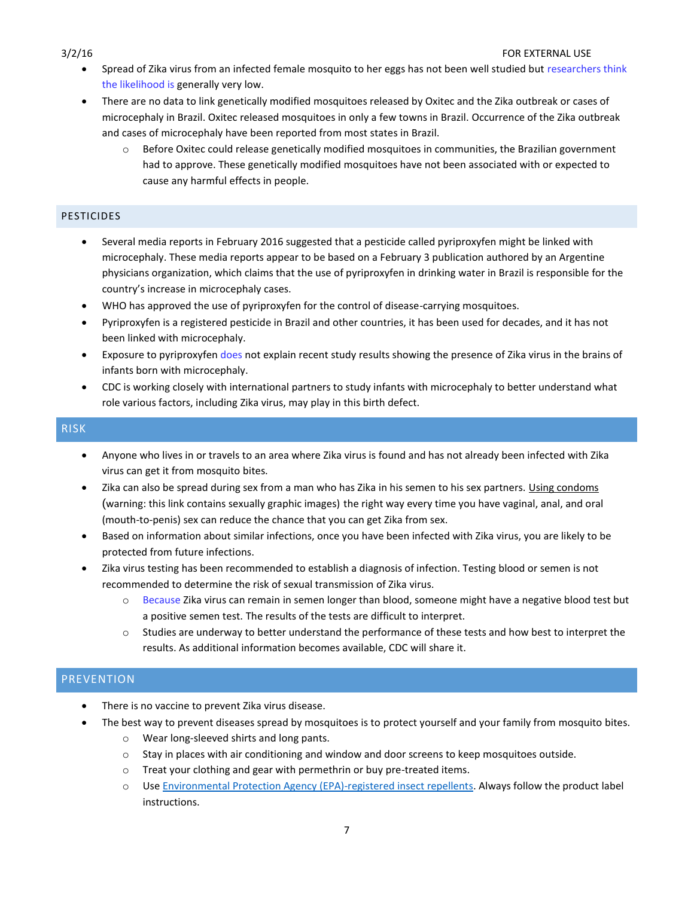- Spread of Zika virus from an infected female mosquito to her eggs has not been well studied but researchers think the likelihood is generally very low.
- There are no data to link genetically modified mosquitoes released by Oxitec and the Zika outbreak or cases of microcephaly in Brazil. Oxitec released mosquitoes in only a few towns in Brazil. Occurrence of the Zika outbreak and cases of microcephaly have been reported from most states in Brazil.
	- $\circ$  Before Oxitec could release genetically modified mosquitoes in communities, the Brazilian government had to approve. These genetically modified mosquitoes have not been associated with or expected to cause any harmful effects in people.

# <span id="page-6-0"></span>**PESTICIDES**

- Several media reports in February 2016 suggested that a pesticide called pyriproxyfen might be linked with microcephaly. These media reports appear to be based on a February 3 publication authored by an Argentine physicians organization, which claims that the use of pyriproxyfen in drinking water in Brazil is responsible for the country's increase in microcephaly cases.
- WHO has approved the use of pyriproxyfen for the control of disease-carrying mosquitoes.
- Pyriproxyfen is a registered pesticide in Brazil and other countries, it has been used for decades, and it has not been linked with microcephaly.
- Exposure to pyriproxyfen does not explain recent study results showing the presence of Zika virus in the brains of infants born with microcephaly.
- CDC is working closely with international partners to study infants with microcephaly to better understand what role various factors, including Zika virus, may play in this birth defect.

# <span id="page-6-1"></span>RISK

- Anyone who lives in or travels to an area where Zika virus is found and has not already been infected with Zika virus can get it from mosquito bites.
- Zika can also be spread during sex from a man who has Zika in his semen to his sex partners. [Using condoms](http://www.cdc.gov/condomeffectiveness/male-condom-use.html) (warning: this link contains sexually graphic images) the right way every time you have vaginal, anal, and oral (mouth-to-penis) sex can reduce the chance that you can get Zika from sex.
- Based on information about similar infections, once you have been infected with Zika virus, you are likely to be protected from future infections.
- Zika virus testing has been recommended to establish a diagnosis of infection. Testing blood or semen is not recommended to determine the risk of sexual transmission of Zika virus.
	- o Because Zika virus can remain in semen longer than blood, someone might have a negative blood test but a positive semen test. The results of the tests are difficult to interpret.
	- o Studies are underway to better understand the performance of these tests and how best to interpret the results. As additional information becomes available, CDC will share it.

# <span id="page-6-2"></span>**PREVENTION**

- There is no vaccine to prevent Zika virus disease.
- The best way to prevent diseases spread by mosquitoes is to protect yourself and your family from mosquito bites.
	- o Wear long-sleeved shirts and long pants.
	- o Stay in places with air conditioning and window and door screens to keep mosquitoes outside.
	- o Treat your clothing and gear with permethrin or buy pre-treated items.
	- o Us[e Environmental Protection Agency \(EPA\)-registered insect repellents.](http://www.epa.gov/insect-repellents/find-insect-repellent-right-you) Always follow the product label instructions.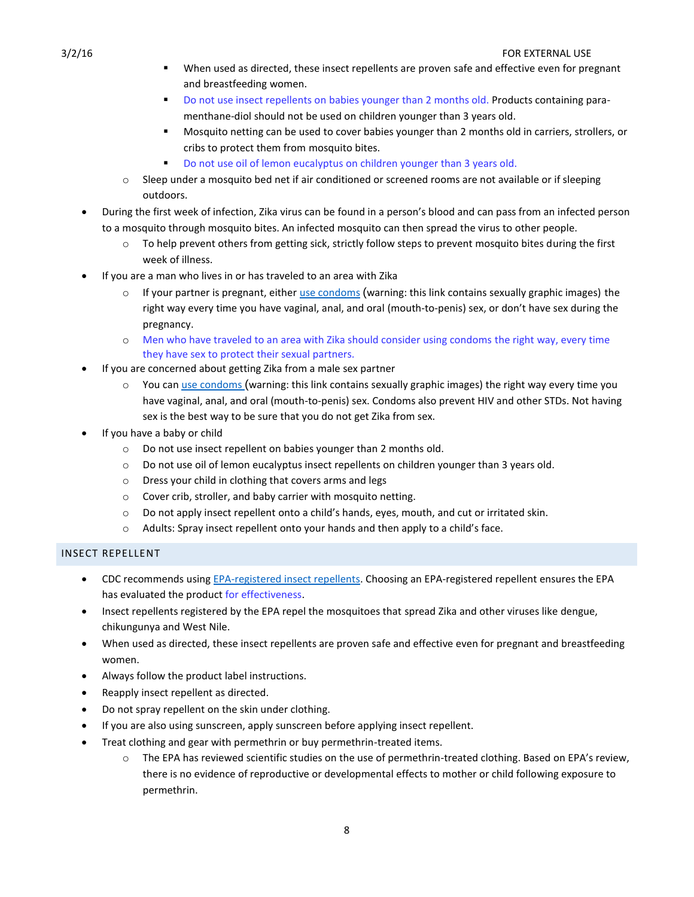- When used as directed, these insect repellents are proven safe and effective even for pregnant and breastfeeding women.
- Do not use insect repellents on babies younger than 2 months old. Products containing paramenthane-diol should not be used on children younger than 3 years old.
- Mosquito netting can be used to cover babies younger than 2 months old in carriers, strollers, or cribs to protect them from mosquito bites.
- Do not use oil of lemon eucalyptus on children younger than 3 years old.
- $\circ$  Sleep under a mosquito bed net if air conditioned or screened rooms are not available or if sleeping outdoors.
- During the first week of infection, Zika virus can be found in a person's blood and can pass from an infected person to a mosquito through mosquito bites. An infected mosquito can then spread the virus to other people.
	- o To help prevent others from getting sick, strictly follow steps to prevent mosquito bites during the first week of illness.
- If you are a man who lives in or has traveled to an area with Zika
	- $\circ$  If your partner is pregnant, either [use condoms](http://www.cdc.gov/condomeffectiveness/male-condom-use.html) (warning: this link contains sexually graphic images) the right way every time you have vaginal, anal, and oral (mouth-to-penis) sex, or don't have sex during the pregnancy.
	- o Men who have traveled to an area with Zika should consider using condoms the right way, every time they have sex to protect their sexual partners.
- If you are concerned about getting Zika from a male sex partner
	- $\circ$  You can [use condoms](http://www.cdc.gov/condomeffectiveness/male-condom-use.html) (warning: this link contains sexually graphic images) the right way every time you have vaginal, anal, and oral (mouth-to-penis) sex. Condoms also prevent HIV and other STDs. Not having sex is the best way to be sure that you do not get Zika from sex.
- If you have a baby or child
	- o Do not use insect repellent on babies younger than 2 months old.
	- o Do not use oil of lemon eucalyptus insect repellents on children younger than 3 years old.
	- o Dress your child in clothing that covers arms and legs
	- o Cover crib, stroller, and baby carrier with mosquito netting.
	- o Do not apply insect repellent onto a child's hands, eyes, mouth, and cut or irritated skin.
	- o Adults: Spray insect repellent onto your hands and then apply to a child's face.

# <span id="page-7-0"></span>INSECT REPELLENT

- CDC recommends using [EPA-registered insect repellents.](http://www.epa.gov/insect-repellents/find-insect-repellent-right-you) Choosing an EPA-registered repellent ensures the EPA has evaluated the product for effectiveness.
- Insect repellents registered by the EPA repel the mosquitoes that spread Zika and other viruses like dengue, chikungunya and West Nile.
- When used as directed, these insect repellents are proven safe and effective even for pregnant and breastfeeding women.
- Always follow the product label instructions.
- Reapply insect repellent as directed.
- Do not spray repellent on the skin under clothing.
- If you are also using sunscreen, apply sunscreen before applying insect repellent.
- Treat clothing and gear with permethrin or buy permethrin-treated items.
	- o The EPA has reviewed scientific studies on the use of permethrin-treated clothing. Based on EPA's review, there is no evidence of reproductive or developmental effects to mother or child following exposure to permethrin.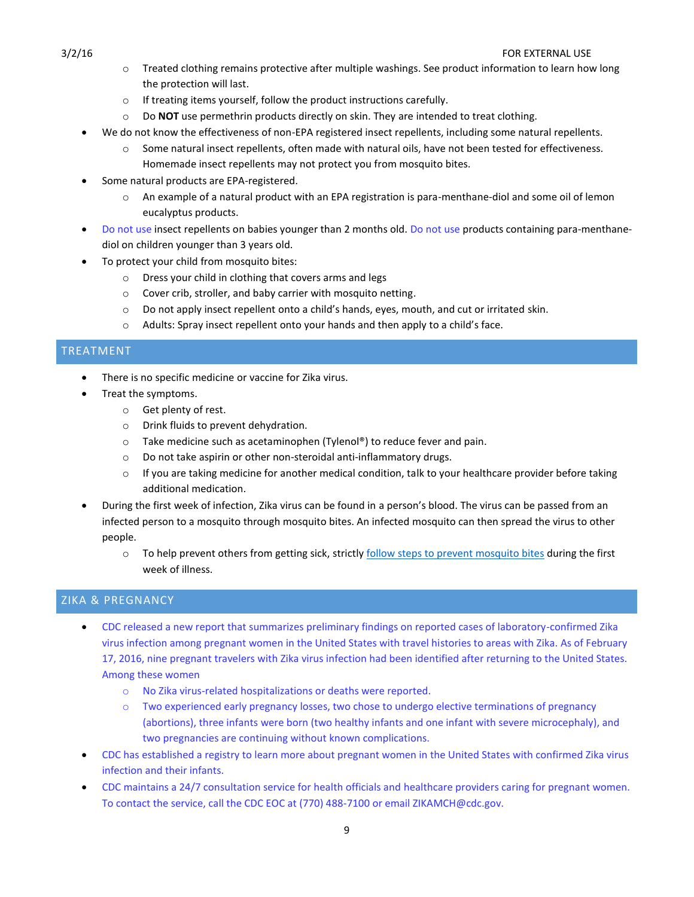- o Treated clothing remains protective after multiple washings. See product information to learn how long the protection will last.
- o If treating items yourself, follow the product instructions carefully.
- o Do **NOT** use permethrin products directly on skin. They are intended to treat clothing.
- We do not know the effectiveness of non-EPA registered insect repellents, including some natural repellents.
	- o Some natural insect repellents, often made with natural oils, have not been tested for effectiveness. Homemade insect repellents may not protect you from mosquito bites.
- Some natural products are EPA-registered.
	- $\circ$  An example of a natural product with an EPA registration is para-menthane-diol and some oil of lemon eucalyptus products.
- Do not use insect repellents on babies younger than 2 months old. Do not use products containing para-menthanediol on children younger than 3 years old.
- To protect your child from mosquito bites:
	- o Dress your child in clothing that covers arms and legs
	- o Cover crib, stroller, and baby carrier with mosquito netting.
	- o Do not apply insect repellent onto a child's hands, eyes, mouth, and cut or irritated skin.
	- $\circ$  Adults: Spray insect repellent onto your hands and then apply to a child's face.

# <span id="page-8-0"></span>TREATMENT

- There is no specific medicine or vaccine for Zika virus.
- Treat the symptoms.
	- o Get plenty of rest.
	- o Drink fluids to prevent dehydration.
	- o Take medicine such as acetaminophen (Tylenol®) to reduce fever and pain.
	- o Do not take aspirin or other non-steroidal anti-inflammatory drugs.
	- $\circ$  If you are taking medicine for another medical condition, talk to your healthcare provider before taking additional medication.
- During the first week of infection, Zika virus can be found in a person's blood. The virus can be passed from an infected person to a mosquito through mosquito bites. An infected mosquito can then spread the virus to other people.
	- o To help prevent others from getting sick, strictl[y follow steps to prevent](http://wwwnc.cdc.gov/travel/page/avoid-bug-bites) mosquito bites during the first week of illness.

# <span id="page-8-1"></span>ZIKA & PREGNANCY

- CDC released a new report that summarizes preliminary findings on reported cases of laboratory-confirmed Zika virus infection among pregnant women in the United States with travel histories to areas with Zika. As of February 17, 2016, nine pregnant travelers with Zika virus infection had been identified after returning to the United States. Among these women
	- o No Zika virus-related hospitalizations or deaths were reported.
	- o Two experienced early pregnancy losses, two chose to undergo elective terminations of pregnancy (abortions), three infants were born (two healthy infants and one infant with severe microcephaly), and two pregnancies are continuing without known complications.
- CDC has established a registry to learn more about pregnant women in the United States with confirmed Zika virus infection and their infants.
- CDC maintains a 24/7 consultation service for health officials and healthcare providers caring for pregnant women. To contact the service, call the CDC EOC at (770) 488-7100 or email ZIKAMCH@cdc.gov.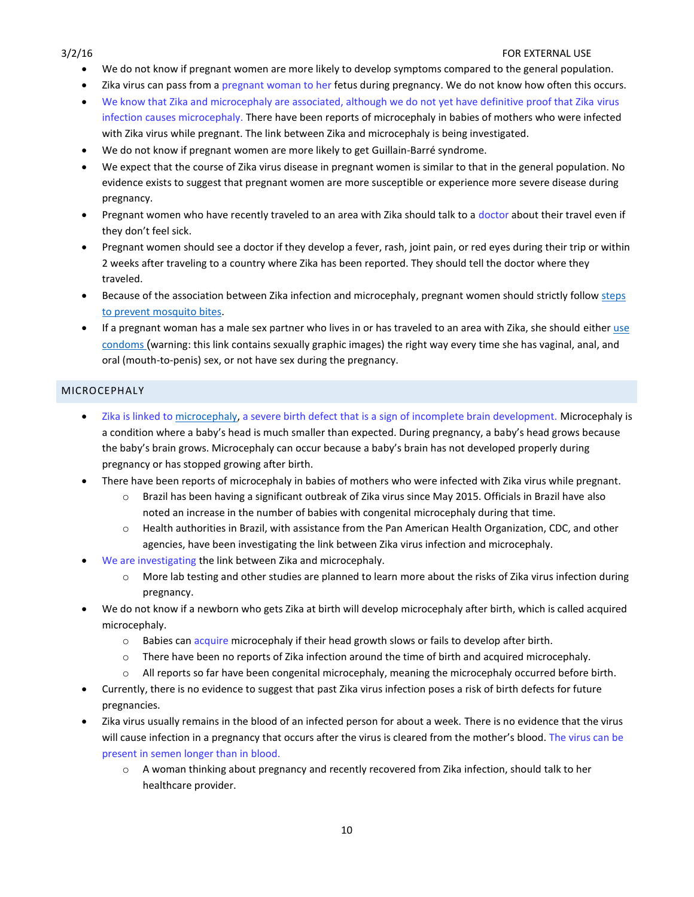- We do not know if pregnant women are more likely to develop symptoms compared to the general population.
- Zika virus can pass from a pregnant woman to her fetus during pregnancy. We do not know how often this occurs.
- We know that Zika and microcephaly are associated, although we do not yet have definitive proof that Zika virus infection causes microcephaly. There have been reports of [microcephaly](http://www.cdc.gov/ncbddd/birthdefects/microcephaly.html) in babies of mothers who were infected with Zika virus while pregnant. The link between Zika and microcephaly is being investigated.
- We do not know if pregnant women are more likely to get Guillain-Barré syndrome.
- We expect that the course of Zika virus disease in pregnant women is similar to that in the general population. No evidence exists to suggest that pregnant women are more susceptible or experience more severe disease during pregnancy.
- Pregnant women who have recently traveled to an area with Zika should talk to a doctor about their travel even if they don't feel sick.
- Pregnant women should see a doctor if they develop a fever, rash, joint pain, or red eyes during their trip or within 2 weeks after traveling to a country where Zika has been reported. They should tell the doctor where they traveled.
- Because of the association between Zika infection and microcephaly, pregnant women should strictly follow steps [to prevent mosquito bites.](http://wwwnc.cdc.gov/travel/page/avoid-bug-bites)
- If a pregnant woman has a male sex partner who lives in or has traveled to an area with Zika, she should either [use](http://www.cdc.gov/condomeffectiveness/male-condom-use.html)  [condoms](http://www.cdc.gov/condomeffectiveness/male-condom-use.html) (warning: this link contains sexually graphic images) the right way every time she has vaginal, anal, and oral (mouth-to-penis) sex, or not have sex during the pregnancy.

# <span id="page-9-0"></span>MICROCEPHALY

- Zika is linked to [microcephaly,](http://www.cdc.gov/ncbddd/birthdefects/microcephaly.html) a severe birth defect that is a sign of incomplete brain development. Microcephaly is a condition where a baby's head is much smaller than expected. During pregnancy, a baby's head grows because the baby's brain grows. Microcephaly can occur because a baby's brain has not developed properly during pregnancy or has stopped growing after birth.
- There have been reports of [microcephaly](http://www.cdc.gov/ncbddd/birthdefects/microcephaly.html) in babies of mothers who were infected with Zika virus while pregnant.
	- o Brazil has been having a significant outbreak of Zika virus since May 2015. Officials in Brazil have also noted an increase in the number of babies with congenital microcephaly during that time.
	- o Health authorities in Brazil, with assistance from the Pan American Health Organization, CDC, and other agencies, have been investigating the link between Zika virus infection and microcephaly.
- We are investigating the link between Zika and microcephaly.
	- o More lab testing and other studies are planned to learn more about the risks of Zika virus infection during pregnancy.
- We do not know if a newborn who gets Zika at birth will develop microcephaly after birth, which is called acquired microcephaly.
	- o Babies can acquire microcephaly if their head growth slows or fails to develop after birth.
	- o There have been no reports of Zika infection around the time of birth and acquired microcephaly.
	- o All reports so far have been congenital microcephaly, meaning the microcephaly occurred before birth.
- Currently, there is no evidence to suggest that past Zika virus infection poses a risk of birth defects for future pregnancies.
- Zika virus usually remains in the blood of an infected person for about a week. There is no evidence that the virus will cause infection in a pregnancy that occurs after the virus is cleared from the mother's blood. The virus can be present in semen longer than in blood.
	- o A woman thinking about pregnancy and recently recovered from Zika infection, should talk to her healthcare provider.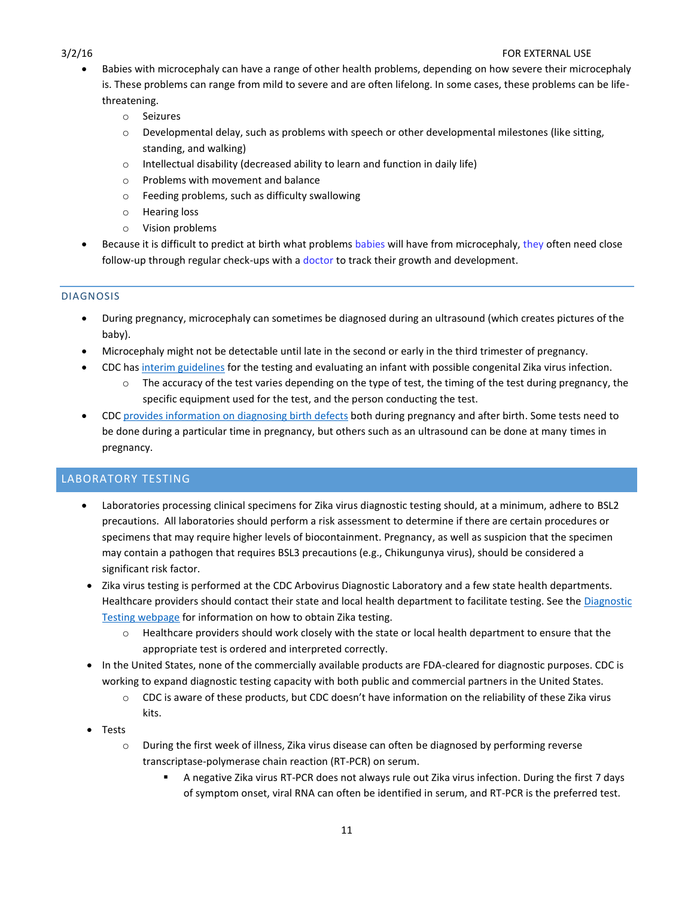- Babies with microcephaly can have a range of other health problems, depending on how severe their microcephaly is. These problems can range from mild to severe and are often lifelong. In some cases, these problems can be lifethreatening.
	- o Seizures
	- $\circ$  Developmental delay, such as problems with speech or other developmental milestones (like sitting, standing, and walking)
	- o Intellectual disability (decreased ability to learn and function in daily life)
	- o Problems with movement and balance
	- o Feeding problems, such as difficulty swallowing
	- o Hearing loss
	- o Vision problems
- Because it is difficult to predict at birth what problems babies will have from microcephaly, they often need close follow-up through regular check-ups with a doctor to track their growth and development.

# <span id="page-10-0"></span>DIAGNOSIS

- During pregnancy, microcephaly can sometimes be diagnosed during an ultrasound (which creates pictures of the baby).
- Microcephaly might not be detectable until late in the second or early in the third trimester of pregnancy.
	- CDC has [interim guidelines](http://www.cdc.gov/mmwr/volumes/65/wr/mm6503e3.htm) for the testing and evaluating an infant with possible congenital Zika virus infection.
		- o The accuracy of the test varies depending on the type of test, the timing of the test during pregnancy, the specific equipment used for the test, and the person conducting the test.
- CDC [provides information on diagnosing](http://www.cdc.gov/ncbddd/birthdefects/diagnosis.html) birth defects both during pregnancy and after birth. Some tests need to be done during a particular time in pregnancy, but others such as an ultrasound can be done at many times in pregnancy.

# <span id="page-10-1"></span>LABORATORY TESTING

- Laboratories processing clinical specimens for Zika virus diagnostic testing should, at a minimum, adhere to BSL2 precautions. All laboratories should perform a risk assessment to determine if there are certain procedures or specimens that may require higher levels of biocontainment. Pregnancy, as well as suspicion that the specimen may contain a pathogen that requires BSL3 precautions (e.g., Chikungunya virus), should be considered a significant risk factor.
- Zika virus testing is performed at the CDC Arbovirus Diagnostic Laboratory and a few state health departments. Healthcare providers should contact their state and local health department to facilitate testing. See the [Diagnostic](http://www.cdc.gov/zika/hc-providers/diagnostic.html)  Testing [webpage](http://www.cdc.gov/zika/hc-providers/diagnostic.html) for information on how to obtain Zika testing.
	- Healthcare providers should work closely with the state or local health department to ensure that the appropriate test is ordered and interpreted correctly.
- In the United States, none of the commercially available products are FDA-cleared for diagnostic purposes. CDC is working to expand diagnostic testing capacity with both public and commercial partners in the United States.
	- o CDC is aware of these products, but CDC doesn't have information on the reliability of these Zika virus kits.
- Tests
	- o During the first week of illness, Zika virus disease can often be diagnosed by performing reverse transcriptase-polymerase chain reaction (RT-PCR) on serum.
		- A negative Zika virus RT-PCR does not always rule out Zika virus infection. During the first 7 days of symptom onset, viral RNA can often be identified in serum, and RT-PCR is the preferred test.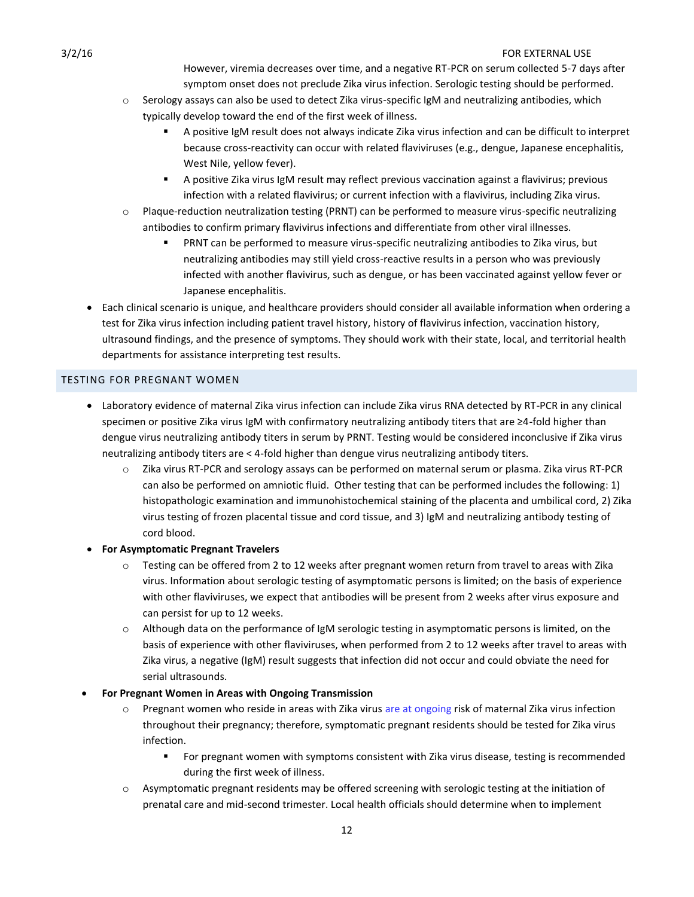However, viremia decreases over time, and a negative RT-PCR on serum collected 5-7 days after symptom onset does not preclude Zika virus infection. Serologic testing should be performed.

- $\circ$  Serology assays can also be used to detect Zika virus-specific IgM and neutralizing antibodies, which typically develop toward the end of the first week of illness.
	- A positive IgM result does not always indicate Zika virus infection and can be difficult to interpret because cross-reactivity can occur with related flaviviruses (e.g., dengue, Japanese encephalitis, West Nile, yellow fever).
	- A positive Zika virus IgM result may reflect previous vaccination against a flavivirus; previous infection with a related flavivirus; or current infection with a flavivirus, including Zika virus.
- o Plaque-reduction neutralization testing (PRNT) can be performed to measure virus-specific neutralizing antibodies to confirm primary flavivirus infections and differentiate from other viral illnesses.
	- PRNT can be performed to measure virus-specific neutralizing antibodies to Zika virus, but neutralizing antibodies may still yield cross-reactive results in a person who was previously infected with another flavivirus, such as dengue, or has been vaccinated against yellow fever or Japanese encephalitis.
- Each clinical scenario is unique, and healthcare providers should consider all available information when ordering a test for Zika virus infection including patient travel history, history of flavivirus infection, vaccination history, ultrasound findings, and the presence of symptoms. They should work with their state, local, and territorial health departments for assistance interpreting test results.

### <span id="page-11-0"></span>TESTING FOR PREGNANT WOMEN

- Laboratory evidence of maternal Zika virus infection can include Zika virus RNA detected by RT-PCR in any clinical specimen or positive Zika virus IgM with confirmatory neutralizing antibody titers that are ≥4-fold higher than dengue virus neutralizing antibody titers in serum by PRNT. Testing would be considered inconclusive if Zika virus neutralizing antibody titers are < 4-fold higher than dengue virus neutralizing antibody titers.
	- o Zika virus RT-PCR and serology assays can be performed on maternal serum or plasma. Zika virus RT-PCR can also be performed on amniotic fluid. Other testing that can be performed includes the following: 1) histopathologic examination and immunohistochemical staining of the placenta and umbilical cord, 2) Zika virus testing of frozen placental tissue and cord tissue, and 3) IgM and neutralizing antibody testing of cord blood.
- **For Asymptomatic Pregnant Travelers**
	- $\circ$  Testing can be offered from 2 to 12 weeks after pregnant women return from travel to areas with Zika virus. Information about serologic testing of asymptomatic persons is limited; on the basis of experience with other flaviviruses, we expect that antibodies will be present from 2 weeks after virus exposure and can persist for up to 12 weeks.
	- o Although data on the performance of IgM serologic testing in asymptomatic persons is limited, on the basis of experience with other flaviviruses, when performed from 2 to 12 weeks after travel to areas with Zika virus, a negative (IgM) result suggests that infection did not occur and could obviate the need for serial ultrasounds.
- **For Pregnant Women in Areas with Ongoing Transmission**
	- o Pregnant women who reside in areas with Zika virus are at ongoing risk of maternal Zika virus infection throughout their pregnancy; therefore, symptomatic pregnant residents should be tested for Zika virus infection.
		- For pregnant women with symptoms consistent with Zika virus disease, testing is recommended during the first week of illness.
	- o Asymptomatic pregnant residents may be offered screening with serologic testing at the initiation of prenatal care and mid-second trimester. Local health officials should determine when to implement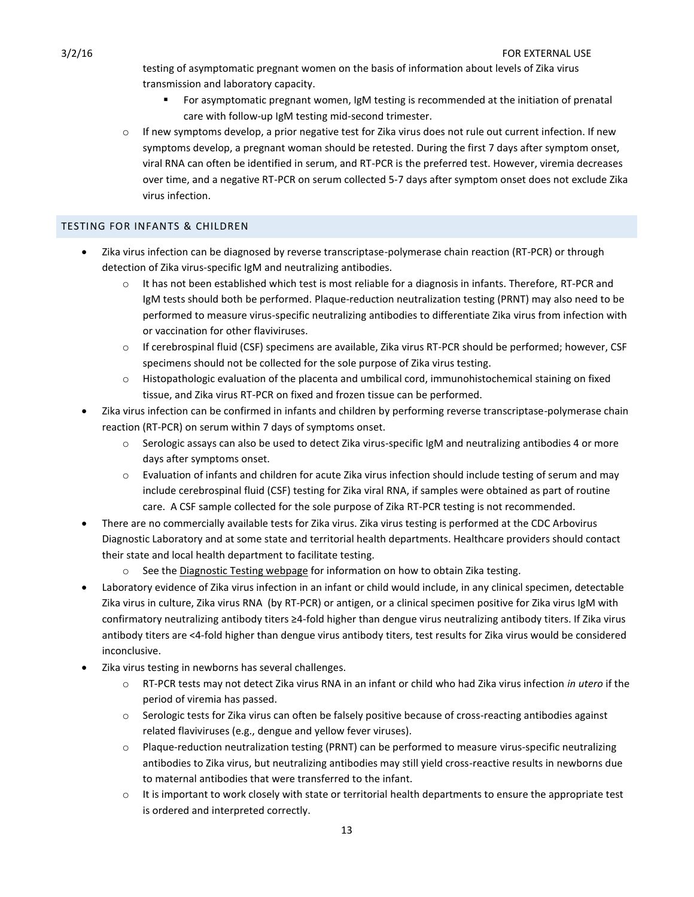testing of asymptomatic pregnant women on the basis of information about levels of Zika virus transmission and laboratory capacity.

- For asymptomatic pregnant women, IgM testing is recommended at the initiation of prenatal care with follow-up IgM testing mid-second trimester.
- $\circ$  If new symptoms develop, a prior negative test for Zika virus does not rule out current infection. If new symptoms develop, a pregnant woman should be retested. During the first 7 days after symptom onset, viral RNA can often be identified in serum, and RT-PCR is the preferred test. However, viremia decreases over time, and a negative RT-PCR on serum collected 5-7 days after symptom onset does not exclude Zika virus infection.

# <span id="page-12-0"></span>TESTING FOR INFANTS & CHILDREN

- Zika virus infection can be diagnosed by reverse transcriptase-polymerase chain reaction (RT-PCR) or through detection of Zika virus-specific IgM and neutralizing antibodies.
	- $\circ$  It has not been established which test is most reliable for a diagnosis in infants. Therefore, RT-PCR and IgM tests should both be performed. Plaque-reduction neutralization testing (PRNT) may also need to be performed to measure virus-specific neutralizing antibodies to differentiate Zika virus from infection with or vaccination for other flaviviruses.
	- o If cerebrospinal fluid (CSF) specimens are available, Zika virus RT-PCR should be performed; however, CSF specimens should not be collected for the sole purpose of Zika virus testing.
	- o Histopathologic evaluation of the placenta and umbilical cord, immunohistochemical staining on fixed tissue, and Zika virus RT-PCR on fixed and frozen tissue can be performed.
- Zika virus infection can be confirmed in infants and children by performing reverse transcriptase-polymerase chain reaction (RT-PCR) on serum within 7 days of symptoms onset.
	- $\circ$  Serologic assays can also be used to detect Zika virus-specific IgM and neutralizing antibodies 4 or more days after symptoms onset.
	- $\circ$  Evaluation of infants and children for acute Zika virus infection should include testing of serum and may include cerebrospinal fluid (CSF) testing for Zika viral RNA, if samples were obtained as part of routine care. A CSF sample collected for the sole purpose of Zika RT-PCR testing is not recommended.
- There are no commercially available tests for Zika virus. Zika virus testing is performed at the CDC Arbovirus Diagnostic Laboratory and at some state and territorial health departments. Healthcare providers should contact their state and local health department to facilitate testing.
	- $\circ$  See th[e Diagnostic Testing webpage](http://www.cdc.gov/zika/hc-providers/diagnostic.html) for information on how to obtain Zika testing.
- Laboratory evidence of Zika virus infection in an infant or child would include, in any clinical specimen, detectable Zika virus in culture, Zika virus RNA (by RT-PCR) or antigen, or a clinical specimen positive for Zika virus IgM with confirmatory neutralizing antibody titers ≥4-fold higher than dengue virus neutralizing antibody titers. If Zika virus antibody titers are <4-fold higher than dengue virus antibody titers, test results for Zika virus would be considered inconclusive.
- Zika virus testing in newborns has several challenges.
	- o RT-PCR tests may not detect Zika virus RNA in an infant or child who had Zika virus infection *in utero* if the period of viremia has passed.
	- o Serologic tests for Zika virus can often be falsely positive because of cross-reacting antibodies against related flaviviruses (e.g., dengue and yellow fever viruses).
	- o Plaque-reduction neutralization testing (PRNT) can be performed to measure virus-specific neutralizing antibodies to Zika virus, but neutralizing antibodies may still yield cross-reactive results in newborns due to maternal antibodies that were transferred to the infant.
	- $\circ$  It is important to work closely with state or territorial health departments to ensure the appropriate test is ordered and interpreted correctly.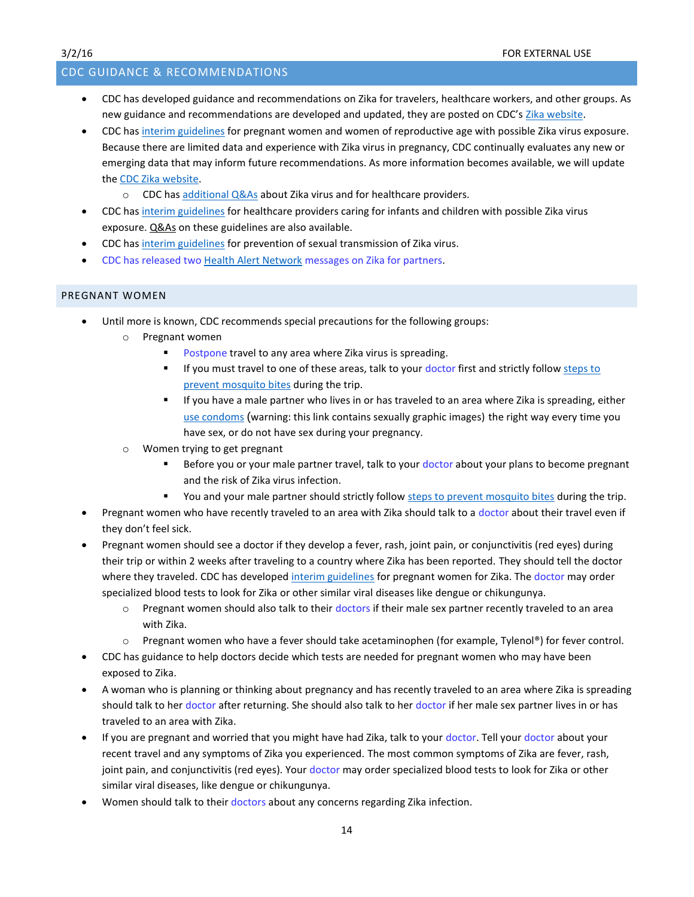# <span id="page-13-0"></span>CDC GUIDANCE & RECOMMENDATIONS

- CDC has developed guidance and recommendations on Zika for travelers, healthcare workers, and other groups. As new guidance and recommendations are developed and updated, they are posted on CDC's [Zika website.](http://www.cdc.gov/zika)
- CDC has [interim guidelines](http://www.cdc.gov/mmwr/volumes/65/wr/mm6505e2er.htm?s_cid=mm6505e2er.htm_w) for pregnant women and women of reproductive age with possible Zika virus exposure. Because there are limited data and experience with Zika virus in pregnancy, CDC continually evaluates any new or emerging data that may inform future recommendations. As more information becomes available, we will update the [CDC Zika website.](http://www.cdc.gov/zika/)
	- $\circ$  CDC has [additional Q&As](http://www.cdc.gov/zika/hc-providers/index.html) about Zika virus and for healthcare providers.
- CDC has [interim guidelines](http://www.cdc.gov/mmwr/volumes/65/wr/mm6507e1er.htm?s_cid=mm6507e1.htm_w) for healthcare providers caring for infants and children with possible Zika virus exposure. [Q&As](http://www.cdc.gov/zika/hc-providers/qa-pediatrician.html) on these guidelines are also available.
- CDC has [interim guidelines](http://www.cdc.gov/mmwr/volumes/65/wr/mm6505e1er.htm?s_cid=mm6505e1er_w.htm) for prevention of sexual transmission of Zika virus.
- CDC has released two [Health Alert Network](http://emergency.cdc.gov/han/2016.asp) messages on Zika for partners.

# <span id="page-13-1"></span>PREGNANT WOMEN

- Until more is known, CDC recommends special precautions for the following groups:
	- o Pregnant women
		- Postpone travel to any area where Zika virus is spreading.
		- If you must travel to one of these areas, talk to your doctor first and strictly follow steps to [prevent mosquito bites](http://wwwnc.cdc.gov/travel/page/avoid-bug-bites) during the trip.
		- **If you have a male partner who lives in or has traveled to an area where Zika is spreading, either** [use condoms](http://www.cdc.gov/condomeffectiveness/male-condom-use.html) (warning: this link contains sexually graphic images) the right way every time you have sex, or do not have sex during your pregnancy.
	- o Women trying to get pregnant
		- Before you or your male partner travel, talk to your doctor about your plans to become pregnant and the risk of Zika virus infection.
		- You and your male partner should strictly follow [steps to prevent mosquito bites](http://wwwnc.cdc.gov/travel/page/avoid-bug-bites) during the trip.
- Pregnant women who have recently traveled to an area with Zika should talk to a doctor about their travel even if they don't feel sick.
- Pregnant women should see a doctor if they develop a fever, rash, joint pain, or conjunctivitis (red eyes) during their trip or within 2 weeks after traveling to a country where Zika has been reported. They should tell the doctor where they traveled. CDC has developed [interim guidelines](http://www.cdc.gov/mmwr/volumes/65/wr/mm6502e1er.htm?s_cid=mm6502e1er_e) fo[r pregnant women](http://www.cdc.gov/mmwr/volumes/65/wr/mm6502e1.htm) for Zika. The doctor may order specialized blood tests to look for Zika or other similar viral diseases like dengue or chikungunya.
	- o Pregnant women should also talk to their doctors if their male sex partner recently traveled to an area with Zika.
	- o Pregnant women who have a fever should take acetaminophen (for example, Tylenol®) for fever control.
- CDC has guidance to help doctors decide which tests are needed for pregnant women who may have been exposed to Zika.
- A woman who is planning or thinking about pregnancy and has recently traveled to an area where Zika is spreading should talk to her doctor after returning. She should also talk to her doctor if her male sex partner lives in or has traveled to an area with Zika.
- If you are pregnant and worried that you might have had Zika, talk to your doctor. Tell your doctor about your recent travel and any symptoms of Zika you experienced. The most common symptoms of Zika are fever, rash, joint pain, and conjunctivitis (red eyes). Your doctor may order specialized blood tests to look for Zika or other similar viral diseases, like dengue or chikungunya.
- Women should talk to their doctors about any concerns regarding Zika infection.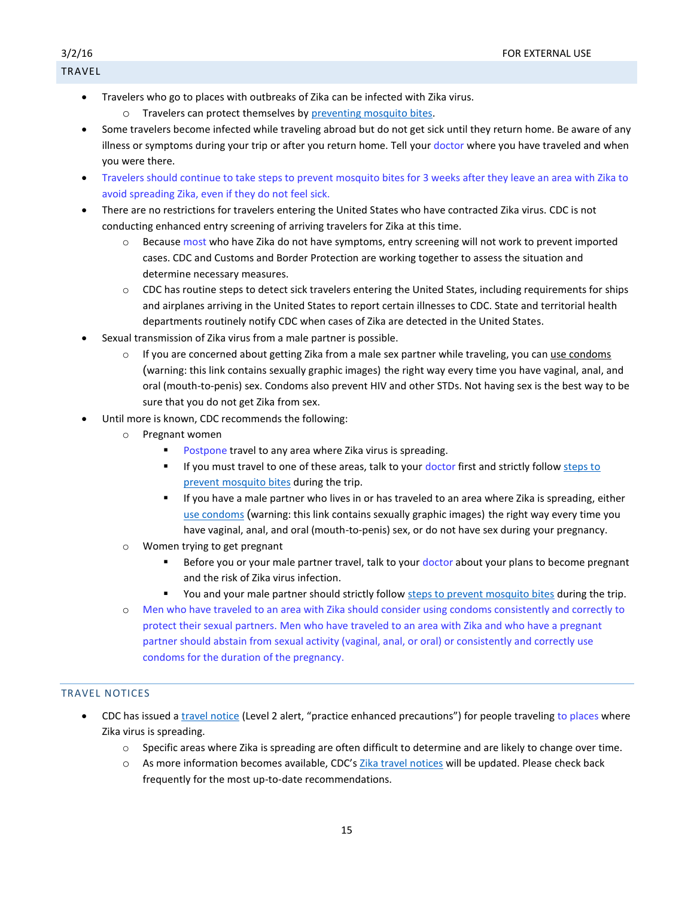# <span id="page-14-0"></span>TRAVEL

- Travelers who go to places with outbreaks of Zika can be infected with Zika virus.
	- o Travelers can protect themselves b[y preventing mosquito bites.](http://wwwnc.cdc.gov/travel/page/avoid-bug-bites)
- Some travelers become infected while traveling abroad but do not get sick until they return home. Be aware of any illness or symptoms during your trip or after you return home. Tell your doctor where you have traveled and when you were there.
- Travelers should continue to take steps to prevent mosquito bites for 3 weeks after they leave an area with Zika to avoid spreading Zika, even if they do not feel sick.
- There are no restrictions for travelers entering the United States who have contracted Zika virus. CDC is not conducting enhanced entry screening of arriving travelers for Zika at this time.
	- o Because most who have Zika do not have symptoms, entry screening will not work to prevent imported cases. CDC and Customs and Border Protection are working together to assess the situation and determine necessary measures.
	- $\circ$  CDC has routine steps to detect sick travelers entering the United States, including requirements for ships and airplanes arriving in the United States to report certain illnesses to CDC. State and territorial health departments routinely notify CDC when cases of Zika are detected in the United States.
- Sexual transmission of Zika virus from a male partner is possible.
	- o If you are concerned about getting Zika from a male sex partner while traveling, you can [use condoms](http://www.cdc.gov/condomeffectiveness/male-condom-use.html) (warning: this link contains sexually graphic images) the right way every time you have vaginal, anal, and oral (mouth-to-penis) sex. Condoms also prevent HIV and other STDs. Not having sex is the best way to be sure that you do not get Zika from sex.
- Until more is known, CDC recommends the following:
	- o Pregnant women
		- **Postpone travel to any area where Zika virus is spreading.**
		- If you must travel to one of these areas, talk to your doctor first and strictly follow steps to prevent [mosquito bites](http://wwwnc.cdc.gov/travel/page/avoid-bug-bites) during the trip.
		- If you have a male partner who lives in or has traveled to an area where Zika is spreading, either [use condoms](http://www.cdc.gov/condomeffectiveness/male-condom-use.html) (warning: this link contains sexually graphic images) the right way every time you have vaginal, anal, and oral (mouth-to-penis) sex, or do not have sex during your pregnancy.
	- o Women trying to get pregnant
		- Before you or your male partner travel, talk to your doctor about your plans to become pregnant and the risk of Zika virus infection.
		- You and your male partner should strictly follow steps to [prevent mosquito bites](http://wwwnc.cdc.gov/travel/page/avoid-bug-bites) during the trip.
	- o Men who have traveled to an area with Zika should consider using condoms consistently and correctly to protect their sexual partners. Men who have traveled to an area with Zika and who have a pregnant partner should abstain from sexual activity (vaginal, anal, or oral) or consistently and correctly use condoms for the duration of the pregnancy.

# <span id="page-14-1"></span>TRAVEL NOTICES

- CDC has issued a [travel notice](http://wwwnc.cdc.gov/travel/notices) (Level 2 alert, "practice enhanced precautions") for people traveling to places where Zika virus is spreading.
	- o Specific areas where Zika is spreading are often difficult to determine and are likely to change over time.
	- o As more information becomes available, CDC's [Zika travel notices](http://wwwnc.cdc.gov/travel/page/zika-information) will be updated. Please check back frequently for the most up-to-date recommendations.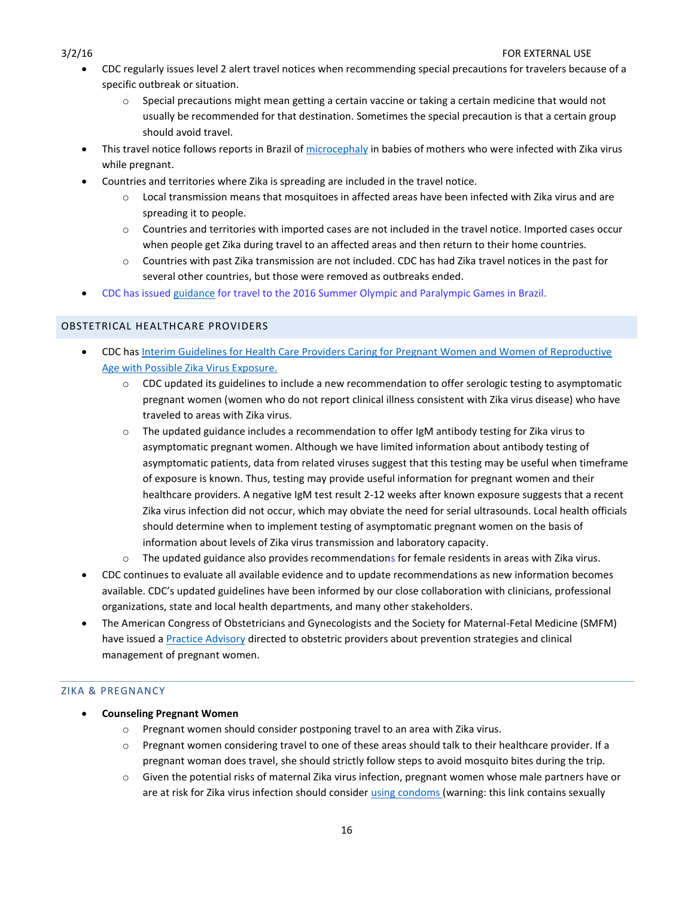- CDC regularly issues level 2 alert travel notices when recommending special precautions for travelers because of a specific outbreak or situation.
	- $\circ$  Special precautions might mean getting a certain vaccine or taking a certain medicine that would not usually be recommended for that destination. Sometimes the special precaution is that a certain group should avoid travel.
- This travel notice follows reports in Brazil of [microcephaly](http://www.cdc.gov/ncbddd/birthdefects/microcephaly.html) in babies of mothers who were infected with Zika virus while pregnant.
	- Countries and territories where Zika is spreading are included in the travel notice.
		- o Local transmission means that mosquitoes in affected areas have been infected with Zika virus and are spreading it to people.
		- o Countries and territories with imported cases are not included in the travel notice. Imported cases occur when people get Zika during travel to an affected areas and then return to their home countries.
		- o Countries with past Zika transmission are not included. CDC has had Zika travel notices in the past for several other countries, but those were removed as outbreaks ended.
- CDC has issued [guidance](http://wwwnc.cdc.gov/travel/notices/alert/2016-summer-olympics-rio) for travel to the 2016 Summer Olympic and Paralympic Games in Brazil.

# <span id="page-15-0"></span>OBSTETRICAL HEALTHCARE PROVIDERS

- CDC has [Interim Guidelines for Health Care Providers Caring for Pregnant Women and Women of Reproductive](http://www.cdc.gov/mmwr/volumes/65/wr/mm6505e2er.htm?s_cid=mm6505e2er.htm_w)  [Age with Possible Zika Virus Exposure.](http://www.cdc.gov/mmwr/volumes/65/wr/mm6505e2er.htm?s_cid=mm6505e2er.htm_w)
	- o CDC updated its guidelines to include a new recommendation to offer serologic testing to asymptomatic pregnant women (women who do not report clinical illness consistent with Zika virus disease) who have traveled to areas with Zika virus.
	- $\circ$  The updated guidance includes a recommendation to offer IgM antibody testing for Zika virus to asymptomatic pregnant women. Although we have limited information about antibody testing of asymptomatic patients, data from related viruses suggest that this testing may be useful when timeframe of exposure is known. Thus, testing may provide useful information for pregnant women and their healthcare providers. A negative IgM test result 2-12 weeks after known exposure suggests that a recent Zika virus infection did not occur, which may obviate the need for serial ultrasounds. Local health officials should determine when to implement testing of asymptomatic pregnant women on the basis of information about levels of Zika virus transmission and laboratory capacity.
	- o The updated guidance also provides recommendations for female residents in areas with Zika virus.
- CDC continues to evaluate all available evidence and to update recommendations as new information becomes available. CDC's updated guidelines have been informed by our close collaboration with clinicians, professional organizations, state and local health departments, and many other stakeholders.
- The American Congress of Obstetricians and Gynecologists and the Society for Maternal-Fetal Medicine (SMFM) have issued [a Practice Advisory](https://www.acog.org/About-ACOG/ACOG-Departments/Zika-Virus) directed to obstetric providers about prevention strategies and clinical management of pregnant women.

# <span id="page-15-1"></span>ZIKA & PREGNANCY

- **Counseling Pregnant Women**
	- o Pregnant women should consider postponing travel to an area with Zika virus.
	- o Pregnant women considering travel to one of these areas should talk to their healthcare provider. If a pregnant woman does travel, she should strictly follow steps to avoid mosquito bites during the trip.
	- o Given the potential risks of maternal Zika virus infection, pregnant women whose male partners have or are at risk for Zika virus infection should conside[r using condoms](http://www.cdc.gov/condomeffectiveness/male-condom-use.html) (warning: this link contains sexually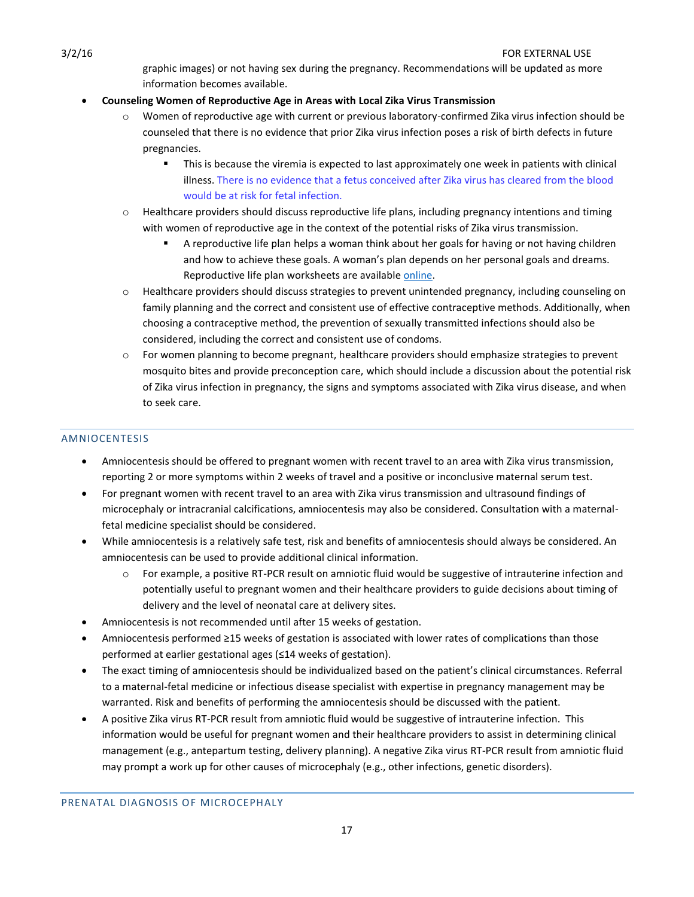graphic images) or not having sex during the pregnancy. Recommendations will be updated as more information becomes available.

# **Counseling Women of Reproductive Age in Areas with Local Zika Virus Transmission**

- Women of reproductive age with current or previous laboratory-confirmed Zika virus infection should be counseled that there is no evidence that prior Zika virus infection poses a risk of birth defects in future pregnancies.
	- **This is because the viremia is expected to last approximately one week in patients with clinical** illness. There is no evidence that a fetus conceived after Zika virus has cleared from the blood would be at risk for fetal infection.
- o Healthcare providers should discuss reproductive life plans, including pregnancy intentions and timing with women of reproductive age in the context of the potential risks of Zika virus transmission.
	- A reproductive life plan helps a woman think about her goals for having or not having children and how to achieve these goals. A woman's plan depends on her personal goals and dreams. Reproductive life plan worksheets are available [online.](http://www.cdc.gov/preconception/reproductiveplan.html)
- o Healthcare providers should discuss strategies to prevent unintended pregnancy, including counseling on family planning and the correct and consistent use of effective contraceptive methods. Additionally, when choosing a contraceptive method, the prevention of sexually transmitted infections should also be considered, including the correct and consistent use of condoms.
- o For women planning to become pregnant, healthcare providers should emphasize strategies to prevent mosquito bites and provide preconception care, which should include a discussion about the potential risk of Zika virus infection in pregnancy, the signs and symptoms associated with Zika virus disease, and when to seek care.

# <span id="page-16-0"></span>AMNIOCENTESIS

- Amniocentesis should be offered to pregnant women with recent travel to an area with Zika virus transmission, reporting 2 or more symptoms within 2 weeks of travel and a positive or inconclusive maternal serum test.
- For pregnant women with recent travel to an area with Zika virus transmission and ultrasound findings of microcephaly or intracranial calcifications, amniocentesis may also be considered. Consultation with a maternalfetal medicine specialist should be considered.
- While amniocentesis is a relatively safe test, risk and benefits of amniocentesis should always be considered. An amniocentesis can be used to provide additional clinical information.
	- For example, a positive RT-PCR result on amniotic fluid would be suggestive of intrauterine infection and potentially useful to pregnant women and their healthcare providers to guide decisions about timing of delivery and the level of neonatal care at delivery sites.
- Amniocentesis is not recommended until after 15 weeks of gestation.
- Amniocentesis performed ≥15 weeks of gestation is associated with lower rates of complications than those performed at earlier gestational ages (≤14 weeks of gestation).
- The exact timing of amniocentesis should be individualized based on the patient's clinical circumstances. Referral to a maternal-fetal medicine or infectious disease specialist with expertise in pregnancy management may be warranted. Risk and benefits of performing the amniocentesis should be discussed with the patient.
- A positive Zika virus RT-PCR result from amniotic fluid would be suggestive of intrauterine infection. This information would be useful for pregnant women and their healthcare providers to assist in determining clinical management (e.g., antepartum testing, delivery planning). A negative Zika virus RT-PCR result from amniotic fluid may prompt a work up for other causes of microcephaly (e.g., other infections, genetic disorders).

<span id="page-16-1"></span>PRENATAL DIAGNOSIS OF MICROCEPHALY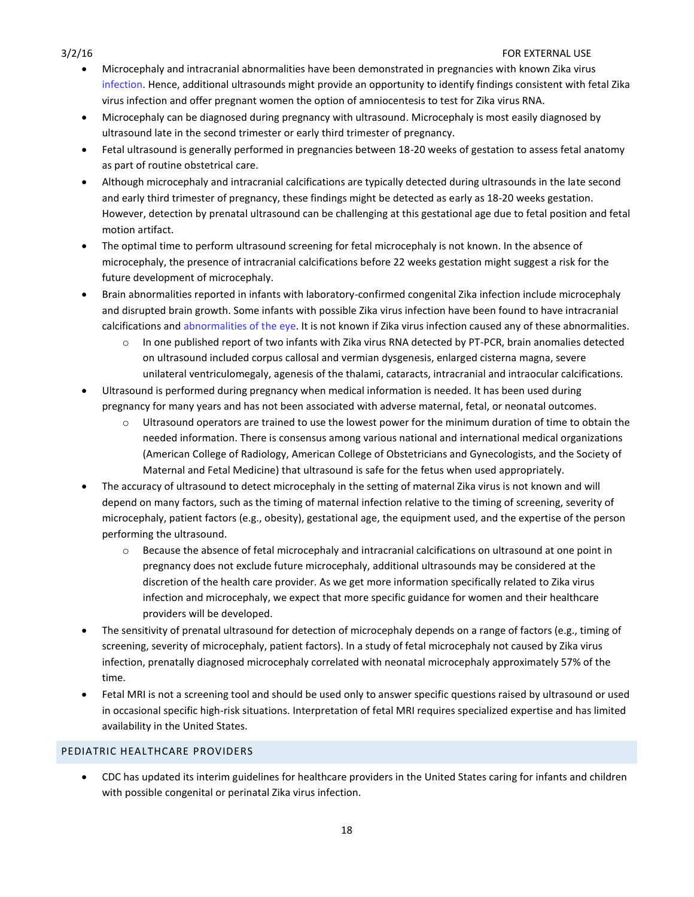- Microcephaly and intracranial abnormalities have been demonstrated in pregnancies with known Zika virus infection. Hence, additional ultrasounds might provide an opportunity to identify findings consistent with fetal Zika virus infection and offer pregnant women the option of amniocentesis to test for Zika virus RNA.
- [Microcephaly can be diagnosed during pregnancy with ultrasound.](http://www.cdc.gov/ncbddd/birthdefects/diagnosis.html) Microcephaly is most easily diagnosed by ultrasound late in the second trimester or early third trimester of pregnancy.
- Fetal ultrasound is generally performed in pregnancies between 18-20 weeks of gestation to assess fetal anatomy as part of routine obstetrical care.
- Although microcephaly and intracranial calcifications are typically detected during ultrasounds in the late second and early third trimester of pregnancy, these findings might be detected as early as 18-20 weeks gestation. However, detection by prenatal ultrasound can be challenging at this gestational age due to fetal position and fetal motion artifact.
- The optimal time to perform ultrasound screening for fetal microcephaly is not known. In the absence of microcephaly, the presence of intracranial calcifications before 22 weeks gestation might suggest a risk for the future development of microcephaly.
- Brain abnormalities reported in infants with laboratory-confirmed congenital Zika infection include microcephaly and disrupted brain growth. Some infants with possible Zika virus infection have been found to have intracranial calcifications and abnormalities of the eye. It is not known if Zika virus infection caused any of these abnormalities.
	- o In one published report of two infants with Zika virus RNA detected by PT-PCR, brain anomalies detected on ultrasound included corpus callosal and vermian dysgenesis, enlarged cisterna magna, severe unilateral ventriculomegaly, agenesis of the thalami, cataracts, intracranial and intraocular calcifications.
- Ultrasound is performed during pregnancy when medical information is needed. It has been used during pregnancy for many years and has not been associated with adverse maternal, fetal, or neonatal outcomes.
	- o Ultrasound operators are trained to use the lowest power for the minimum duration of time to obtain the needed information. There is consensus among various national and international medical organizations (American College of Radiology, American College of Obstetricians and Gynecologists, and the Society of Maternal and Fetal Medicine) that ultrasound is safe for the fetus when used appropriately.
- The accuracy of ultrasound to detect microcephaly in the setting of maternal Zika virus is not known and will depend on many factors, such as the timing of maternal infection relative to the timing of screening, severity of microcephaly, patient factors (e.g., obesity), gestational age, the equipment used, and the expertise of the person performing the ultrasound.
	- o Because the absence of fetal microcephaly and intracranial calcifications on ultrasound at one point in pregnancy does not exclude future microcephaly, additional ultrasounds may be considered at the discretion of the health care provider. As we get more information specifically related to Zika virus infection and microcephaly, we expect that more specific guidance for women and their healthcare providers will be developed.
- The sensitivity of prenatal ultrasound for detection of microcephaly depends on a range of factors (e.g., timing of screening, severity of microcephaly, patient factors). In a study of fetal microcephaly not caused by Zika virus infection, prenatally diagnosed microcephaly correlated with neonatal microcephaly approximately 57% of the time.
- Fetal MRI is not a screening tool and should be used only to answer specific questions raised by ultrasound or used in occasional specific high-risk situations. Interpretation of fetal MRI requires specialized expertise and has limited availability in the United States.

# <span id="page-17-0"></span>PEDIATRIC HEALTHCARE PROVIDERS

 CDC has updated its interim guidelines for healthcare providers in the United States caring for infants and children with possible congenital or perinatal Zika virus infection.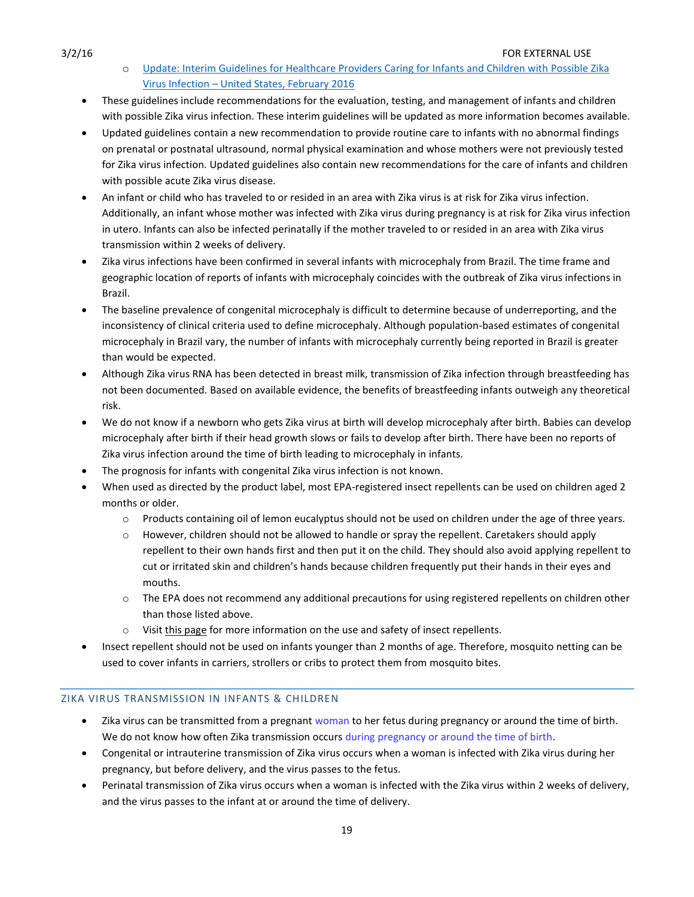- o [Update: Interim Guidelines for Healthcare Providers Caring for Infants and Children with Possible Zika](http://www.cdc.gov/mmwr/volumes/65/wr/mm6507e1er.htm?s_cid=mm6507e1.htm_w)  Virus Infection – [United States, February 2016](http://www.cdc.gov/mmwr/volumes/65/wr/mm6507e1er.htm?s_cid=mm6507e1.htm_w)
- These guidelines include recommendations for the evaluation, testing, and management of infants and children with possible Zika virus infection. These interim guidelines will be updated as more information becomes available.
- Updated guidelines contain a new recommendation to provide routine care to infants with no abnormal findings on prenatal or postnatal ultrasound, normal physical examination and whose mothers were not previously tested for Zika virus infection. Updated guidelines also contain new recommendations for the care of infants and children with possible acute Zika virus disease.
- An infant or child who has traveled to or resided in an area with Zika virus is at risk for Zika virus infection. Additionally, an infant whose mother was infected with Zika virus during pregnancy is at risk for Zika virus infection in utero. Infants can also be infected perinatally if the mother traveled to or resided in an area with Zika virus transmission within 2 weeks of delivery.
- Zika virus infections have been confirmed in several infants with microcephaly from Brazil. The time frame and geographic location of reports of infants with microcephaly coincides with the outbreak of Zika virus infections in Brazil.
- The baseline prevalence of congenital microcephaly is difficult to determine because of underreporting, and the inconsistency of clinical criteria used to define microcephaly. Although population-based estimates of congenital microcephaly in Brazil vary, the number of infants with microcephaly currently being reported in Brazil is greater than would be expected.
- Although Zika virus RNA has been detected in breast milk, transmission of Zika infection through breastfeeding has not been documented. Based on available evidence, the benefits of breastfeeding infants outweigh any theoretical risk.
- We do not know if a newborn who gets Zika virus at birth will develop microcephaly after birth. Babies can develop microcephaly after birth if their head growth slows or fails to develop after birth. There have been no reports of Zika virus infection around the time of birth leading to microcephaly in infants.
- The prognosis for infants with congenital Zika virus infection is not known.
- When used as directed by the product label, most EPA-registered insect repellents can be used on children aged 2 months or older.
	- o Products containing oil of lemon eucalyptus should not be used on children under the age of three years.
	- o However, children should not be allowed to handle or spray the repellent. Caretakers should apply repellent to their own hands first and then put it on the child. They should also avoid applying repellent to cut or irritated skin and children's hands because children frequently put their hands in their eyes and mouths.
	- o The EPA does not recommend any additional precautions for using registered repellents on children other than those listed above.
	- o Visit [this page](http://www.cdc.gov/westnile/faq/repellent.html) for more information on the use and safety of insect repellents.
- Insect repellent should not be used on infants younger than 2 months of age. Therefore, mosquito netting can be used to cover infants in carriers, strollers or cribs to protect them from mosquito bites.

# <span id="page-18-0"></span>ZIKA VIRUS TRANSMISSION IN INFANTS & CHILDREN

- Zika virus can be transmitted from a pregnant woman to her fetus during pregnancy or around the time of birth. We do not know how often Zika transmission occurs during pregnancy or around the time of birth.
- Congenital or intrauterine transmission of Zika virus occurs when a woman is infected with Zika virus during her pregnancy, but before delivery, and the virus passes to the fetus.
- Perinatal transmission of Zika virus occurs when a woman is infected with the Zika virus within 2 weeks of delivery, and the virus passes to the infant at or around the time of delivery.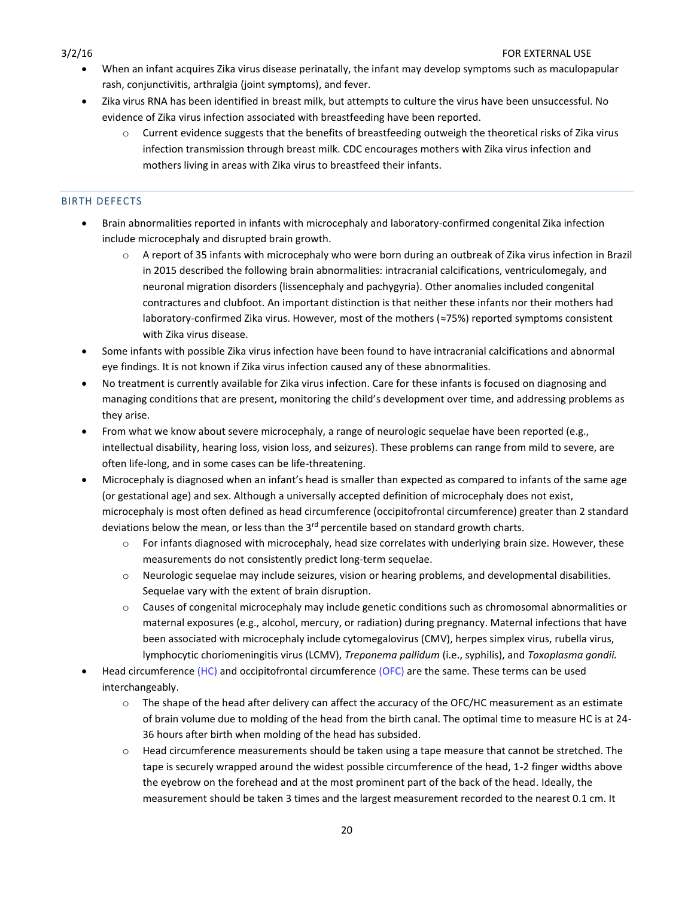- When an infant acquires Zika virus disease perinatally, the infant may develop symptoms such as maculopapular rash, conjunctivitis, arthralgia (joint symptoms), and fever.
- Zika virus RNA has been identified in breast milk, but attempts to culture the virus have been unsuccessful. No evidence of Zika virus infection associated with breastfeeding have been reported.
	- o Current evidence suggests that the benefits of breastfeeding outweigh the theoretical risks of Zika virus infection transmission through breast milk. CDC encourages mothers with Zika virus infection and mothers living in areas with Zika virus to breastfeed their infants.

# <span id="page-19-0"></span>BIRTH DEFECTS

- Brain abnormalities reported in infants with microcephaly and laboratory-confirmed congenital Zika infection include microcephaly and disrupted brain growth.
	- o A report of 35 infants with microcephaly who were born during an outbreak of Zika virus infection in Brazil in 2015 described the following brain abnormalities: intracranial calcifications, ventriculomegaly, and neuronal migration disorders (lissencephaly and pachygyria). Other anomalies included congenital contractures and clubfoot. An important distinction is that neither these infants nor their mothers had laboratory-confirmed Zika virus. However, most of the mothers (≈75%) reported symptoms consistent with Zika virus disease.
- Some infants with possible Zika virus infection have been found to have intracranial calcifications and abnormal eye findings. It is not known if Zika virus infection caused any of these abnormalities.
- No treatment is currently available for Zika virus infection. Care for these infants is focused on diagnosing and managing conditions that are present, monitoring the child's development over time, and addressing problems as they arise.
- From what we know about severe microcephaly, a range of neurologic sequelae have been reported (e.g., intellectual disability, hearing loss, vision loss, and seizures). These problems can range from mild to severe, are often life-long, and in some cases can be life-threatening.
- Microcephaly is diagnosed when an infant's head is smaller than expected as compared to infants of the same age (or gestational age) and sex. Although a universally accepted definition of microcephaly does not exist, microcephaly is most often defined as head circumference (occipitofrontal circumference) greater than 2 standard deviations below the mean, or less than the  $3<sup>rd</sup>$  percentile based on standard growth charts.
	- $\circ$  For infants diagnosed with microcephaly, head size correlates with underlying brain size. However, these measurements do not consistently predict long-term sequelae.
	- o Neurologic sequelae may include seizures, vision or hearing problems, and developmental disabilities. Sequelae vary with the extent of brain disruption.
	- $\circ$  Causes of congenital microcephaly may include genetic conditions such as chromosomal abnormalities or maternal exposures (e.g., alcohol, mercury, or radiation) during pregnancy. Maternal infections that have been associated with microcephaly include cytomegalovirus (CMV), herpes simplex virus, rubella virus, lymphocytic choriomeningitis virus (LCMV), *Treponema pallidum* (i.e., syphilis), and *Toxoplasma gondii.*
- Head circumference (HC) and occipitofrontal circumference (OFC) are the same. These terms can be used interchangeably.
	- o The shape of the head after delivery can affect the accuracy of the OFC/HC measurement as an estimate of brain volume due to molding of the head from the birth canal. The optimal time to measure HC is at 24- 36 hours after birth when molding of the head has subsided.
	- o Head circumference measurements should be taken using a tape measure that cannot be stretched. The tape is securely wrapped around the widest possible circumference of the head, 1-2 finger widths above the eyebrow on the forehead and at the most prominent part of the back of the head. Ideally, the measurement should be taken 3 times and the largest measurement recorded to the nearest 0.1 cm. It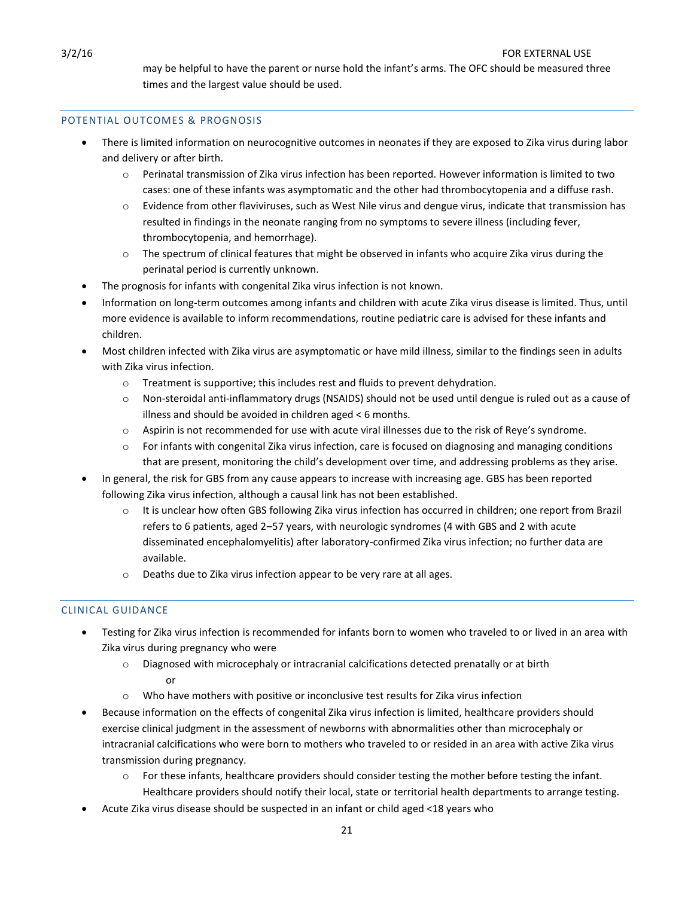may be helpful to have the parent or nurse hold the infant's arms. The OFC should be measured three times and the largest value should be used.

### <span id="page-20-0"></span>POTENTIAL OUTCOMES & PROGNOSIS

- There is limited information on neurocognitive outcomes in neonates if they are exposed to Zika virus during labor and delivery or after birth.
	- o Perinatal transmission of Zika virus infection has been reported. However information is limited to two cases: one of these infants was asymptomatic and the other had thrombocytopenia and a diffuse rash.
	- o Evidence from other flaviviruses, such as West Nile virus and dengue virus, indicate that transmission has resulted in findings in the neonate ranging from no symptoms to severe illness (including fever, thrombocytopenia, and hemorrhage).
	- $\circ$  The spectrum of clinical features that might be observed in infants who acquire Zika virus during the perinatal period is currently unknown.
- The prognosis for infants with congenital Zika virus infection is not known.
- Information on long-term outcomes among infants and children with acute Zika virus disease is limited. Thus, until more evidence is available to inform recommendations, routine pediatric care is advised for these infants and children.
- Most children infected with Zika virus are asymptomatic or have mild illness, similar to the findings seen in adults with Zika virus infection.
	- $\circ$  Treatment is supportive; this includes rest and fluids to prevent dehydration.
	- o Non-steroidal anti-inflammatory drugs (NSAIDS) should not be used until dengue is ruled out as a cause of illness and should be avoided in children aged < 6 months.
	- o Aspirin is not recommended for use with acute viral illnesses due to the risk of Reye's syndrome.
	- o For infants with congenital Zika virus infection, care is focused on diagnosing and managing conditions that are present, monitoring the child's development over time, and addressing problems as they arise.
- In general, the risk for GBS from any cause appears to increase with increasing age. GBS has been reported following Zika virus infection, although a causal link has not been established.
	- o It is unclear how often GBS following Zika virus infection has occurred in children; one report from Brazil refers to 6 patients, aged 2–57 years, with neurologic syndromes (4 with GBS and 2 with acute disseminated encephalomyelitis) after laboratory-confirmed Zika virus infection; no further data are available.
	- o Deaths due to Zika virus infection appear to be very rare at all ages.

# <span id="page-20-1"></span>CLINICAL GUIDANCE

- Testing for Zika virus infection is recommended for infants born to women who traveled to or lived in an area with Zika virus during pregnancy who were
	- $\circ$  Diagnosed with microcephaly or intracranial calcifications detected prenatally or at birth or
	- $\circ$  Who have mothers with positive or inconclusive test results for Zika virus infection
- Because information on the effects of congenital Zika virus infection is limited, healthcare providers should exercise clinical judgment in the assessment of newborns with abnormalities other than microcephaly or intracranial calcifications who were born to mothers who traveled to or resided in an area with active Zika virus transmission during pregnancy.
	- o For these infants, healthcare providers should consider testing the mother before testing the infant. Healthcare providers should notify their local, state or territorial health departments to arrange testing.
- Acute Zika virus disease should be suspected in an infant or child aged <18 years who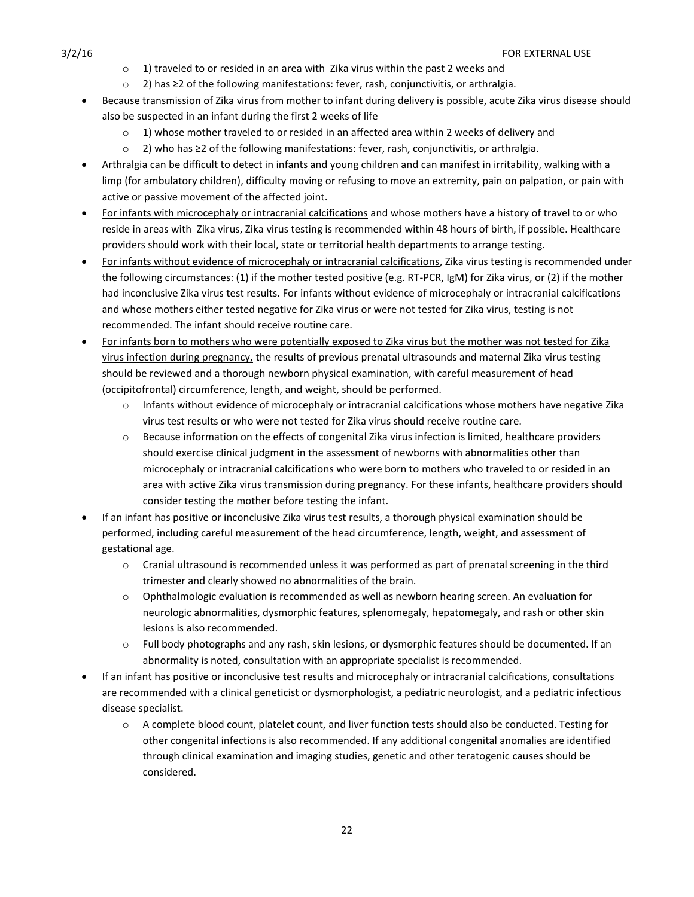- $\circ$  1) traveled to or resided in an area with Zika virus within the past 2 weeks and
- o 2) has ≥2 of the following manifestations: fever, rash, conjunctivitis, or arthralgia.
- Because transmission of Zika virus from mother to infant during delivery is possible, acute Zika virus disease should also be suspected in an infant during the first 2 weeks of life
	- $\circ$  1) whose mother traveled to or resided in an affected area within 2 weeks of delivery and
	- o 2) who has ≥2 of the following manifestations: fever, rash, conjunctivitis, or arthralgia.
- Arthralgia can be difficult to detect in infants and young children and can manifest in irritability, walking with a limp (for ambulatory children), difficulty moving or refusing to move an extremity, pain on palpation, or pain with active or passive movement of the affected joint.
- For infants with microcephaly or intracranial calcifications and whose mothers have a history of travel to or who reside in areas with Zika virus, Zika virus testing is recommended within 48 hours of birth, if possible. Healthcare providers should work with their local, state or territorial health departments to arrange testing.
- For infants without evidence of microcephaly or intracranial calcifications, Zika virus testing is recommended under the following circumstances: (1) if the mother tested positive (e.g. RT-PCR, IgM) for Zika virus, or (2) if the mother had inconclusive Zika virus test results. For infants without evidence of microcephaly or intracranial calcifications and whose mothers either tested negative for Zika virus or were not tested for Zika virus, testing is not recommended. The infant should receive routine care.
- For infants born to mothers who were potentially exposed to Zika virus but the mother was not tested for Zika virus infection during pregnancy, the results of previous prenatal ultrasounds and maternal Zika virus testing should be reviewed and a thorough newborn physical examination, with careful measurement of head (occipitofrontal) circumference, length, and weight, should be performed.
	- o Infants without evidence of microcephaly or intracranial calcifications whose mothers have negative Zika virus test results or who were not tested for Zika virus should receive routine care.
	- $\circ$  Because information on the effects of congenital Zika virus infection is limited, healthcare providers should exercise clinical judgment in the assessment of newborns with abnormalities other than microcephaly or intracranial calcifications who were born to mothers who traveled to or resided in an area with active Zika virus transmission during pregnancy. For these infants, healthcare providers should consider testing the mother before testing the infant.
- If an infant has positive or inconclusive Zika virus test results, a thorough physical examination should be performed, including careful measurement of the head circumference, length, weight, and assessment of gestational age.
	- $\circ$  Cranial ultrasound is recommended unless it was performed as part of prenatal screening in the third trimester and clearly showed no abnormalities of the brain.
	- o Ophthalmologic evaluation is recommended as well as newborn hearing screen. An evaluation for neurologic abnormalities, dysmorphic features, splenomegaly, hepatomegaly, and rash or other skin lesions is also recommended.
	- o Full body photographs and any rash, skin lesions, or dysmorphic features should be documented. If an abnormality is noted, consultation with an appropriate specialist is recommended.
- If an infant has positive or inconclusive test results and microcephaly or intracranial calcifications, consultations are recommended with a clinical geneticist or dysmorphologist, a pediatric neurologist, and a pediatric infectious disease specialist.
	- o A complete blood count, platelet count, and liver function tests should also be conducted. Testing for other congenital infections is also recommended. If any additional congenital anomalies are identified through clinical examination and imaging studies, genetic and other teratogenic causes should be considered.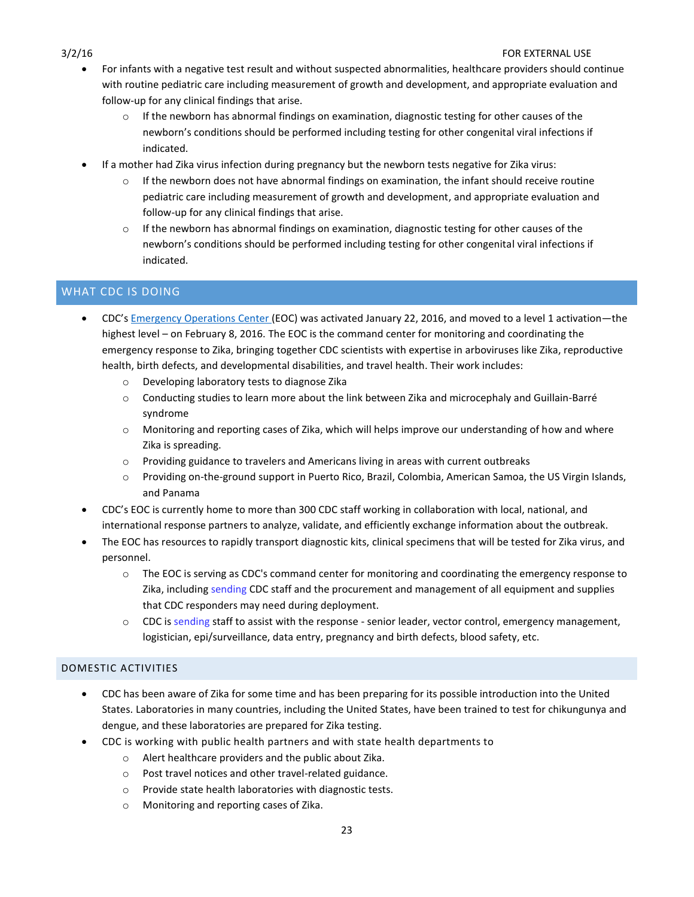- For infants with a negative test result and without suspected abnormalities, healthcare providers should continue with routine pediatric care including measurement of growth and development, and appropriate evaluation and follow-up for any clinical findings that arise.
	- If the newborn has abnormal findings on examination, diagnostic testing for other causes of the newborn's conditions should be performed including testing for other congenital viral infections if indicated.
- If a mother had Zika virus infection during pregnancy but the newborn tests negative for Zika virus:
	- $\circ$  If the newborn does not have abnormal findings on examination, the infant should receive routine pediatric care including measurement of growth and development, and appropriate evaluation and follow-up for any clinical findings that arise.
	- $\circ$  If the newborn has abnormal findings on examination, diagnostic testing for other causes of the newborn's conditions should be performed including testing for other congenital viral infections if indicated.

# <span id="page-22-0"></span>WHAT CDC IS DOING

- CDC's [Emergency Operations Center](http://www.cdc.gov/phpr/eoc.htm) (EOC) was activated January 22, 2016, and moved to a level 1 activation—the highest level – on February 8, 2016. The EOC is the command center for monitoring and coordinating the emergency response to Zika, bringing together CDC scientists with expertise in arboviruses like Zika, reproductive health, birth defects, and developmental disabilities, and travel health. Their work includes:
	- o Developing laboratory tests to diagnose Zika
	- o Conducting studies to learn more about the link between Zika and microcephaly and Guillain-Barré syndrome
	- o Monitoring and reporting cases of Zika, which will helps improve our understanding of how and where Zika is spreading.
	- o Providing guidance to travelers and Americans living in areas with current outbreaks
	- o Providing on-the-ground support in Puerto Rico, Brazil, Colombia, American Samoa, the US Virgin Islands, and Panama
- CDC's EOC is currently home to more than 300 CDC staff working in collaboration with local, national, and international response partners to analyze, validate, and efficiently exchange information about the outbreak.
- The EOC has resources to rapidly transport diagnostic kits, clinical specimens that will be tested for Zika virus, and personnel.
	- o The EOC is serving as CDC's command center for monitoring and coordinating the emergency response to Zika, including sending CDC staff and the procurement and management of all equipment and supplies that CDC responders may need during deployment.
	- o CDC is sending staff to assist with the response senior leader, vector control, emergency management, logistician, epi/surveillance, data entry, pregnancy and birth defects, blood safety, etc.

# <span id="page-22-1"></span>DOMESTIC ACTIVITIES

- CDC has been aware of Zika for some time and has been preparing for its possible introduction into the United States. Laboratories in many countries, including the United States, have been trained to test for chikungunya and dengue, and these laboratories are prepared for Zika testing.
- CDC is working with public health partners and with state health departments to
	- o Alert healthcare providers and the public about Zika.
	- o Post travel notices and other travel-related guidance.
	- o Provide state health laboratories with diagnostic tests.
	- o Monitoring and reporting cases of Zika.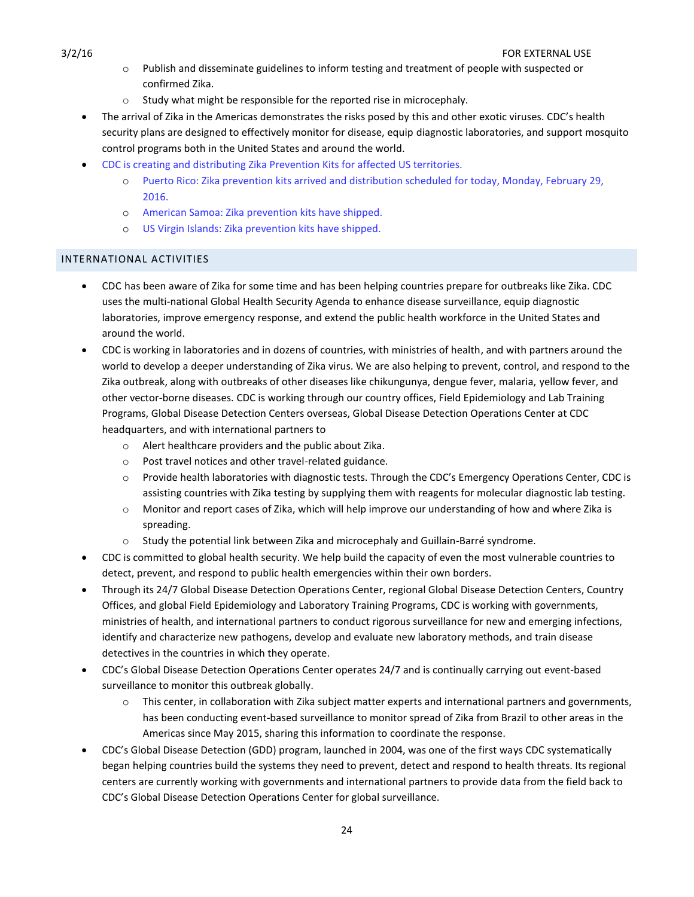- o Publish and disseminate guidelines to inform testing and treatment of people with suspected or confirmed Zika.
- o Study what might be responsible for the reported rise in microcephaly.
- The arrival of Zika in the Americas demonstrates the risks posed by this and other exotic viruses. CDC's health security plans are designed to effectively monitor for disease, equip diagnostic laboratories, and support mosquito control programs both in the United States and around the world.
- CDC is creating and distributing Zika Prevention Kits for affected US territories.
	- o Puerto Rico: Zika prevention kits arrived and distribution scheduled for today, Monday, February 29, 2016.
	- o American Samoa: Zika prevention kits have shipped.
	- o US Virgin Islands: Zika prevention kits have shipped.

# <span id="page-23-0"></span>INTERNATIONAL ACTIVITIES

- CDC has been aware of Zika for some time and has been helping countries prepare for outbreaks like Zika. CDC uses the multi-national Global Health Security Agenda to enhance disease surveillance, equip diagnostic laboratories, improve emergency response, and extend the public health workforce in the United States and around the world.
- CDC is working in laboratories and in dozens of countries, with ministries of health, and with partners around the world to develop a deeper understanding of Zika virus. We are also helping to prevent, control, and respond to the Zika outbreak, along with outbreaks of other diseases like chikungunya, dengue fever, malaria, yellow fever, and other vector-borne diseases. CDC is working through our country offices, Field Epidemiology and Lab Training Programs, Global Disease Detection Centers overseas, Global Disease Detection Operations Center at CDC headquarters, and with international partners to
	- o Alert healthcare providers and the public about Zika.
	- o Post travel notices and other travel-related guidance.
	- o Provide health laboratories with diagnostic tests. Through the CDC's Emergency Operations Center, CDC is assisting countries with Zika testing by supplying them with reagents for molecular diagnostic lab testing.
	- o Monitor and report cases of Zika, which will help improve our understanding of how and where Zika is spreading.
	- $\circ$  Study the potential link between Zika and microcephaly and Guillain-Barré syndrome.
- CDC is committed to global health security. We help build the capacity of even the most vulnerable countries to detect, prevent, and respond to public health emergencies within their own borders.
- Through its 24/7 Global Disease Detection Operations Center, regional Global Disease Detection Centers, Country Offices, and global Field Epidemiology and Laboratory Training Programs, CDC is working with governments, ministries of health, and international partners to conduct rigorous surveillance for new and emerging infections, identify and characterize new pathogens, develop and evaluate new laboratory methods, and train disease detectives in the countries in which they operate.
- CDC's Global Disease Detection Operations Center operates 24/7 and is continually carrying out event-based surveillance to monitor this outbreak globally.
	- o This center, in collaboration with Zika subject matter experts and international partners and governments, has been conducting event-based surveillance to monitor spread of Zika from Brazil to other areas in the Americas since May 2015, sharing this information to coordinate the response.
- CDC's Global Disease Detection (GDD) program, launched in 2004, was one of the first ways CDC systematically began helping countries build the systems they need to prevent, detect and respond to health threats. Its regional centers are currently working with governments and international partners to provide data from the field back to CDC's Global Disease Detection Operations Center for global surveillance.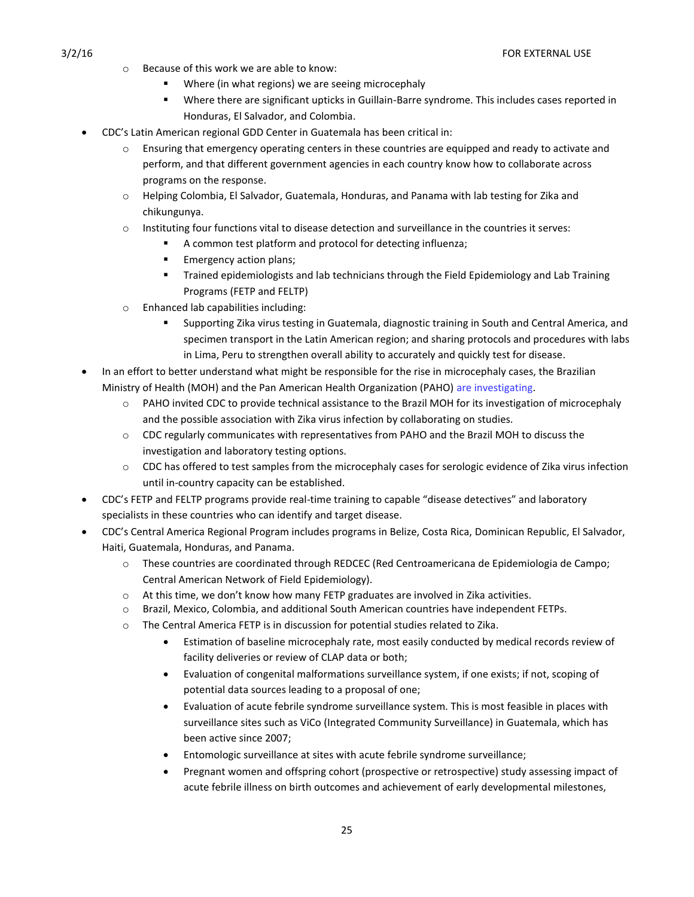- o Because of this work we are able to know:
	- Where (in what regions) we are seeing microcephaly
	- Where there are significant upticks in Guillain-Barre syndrome. This includes cases reported in Honduras, El Salvador, and Colombia.
- CDC's Latin American regional GDD Center in Guatemala has been critical in:
	- o Ensuring that emergency operating centers in these countries are equipped and ready to activate and perform, and that different government agencies in each country know how to collaborate across programs on the response.
	- o Helping Colombia, El Salvador, Guatemala, Honduras, and Panama with lab testing for Zika and chikungunya.
	- o Instituting four functions vital to disease detection and surveillance in the countries it serves:
		- A common test platform and protocol for detecting influenza;
		- **Emergency action plans;**
		- **Trained epidemiologists and lab technicians through the Field Epidemiology and Lab Training** Programs (FETP and FELTP)
	- o Enhanced lab capabilities including:
		- Supporting Zika virus testing in Guatemala, diagnostic training in South and Central America, and specimen transport in the Latin American region; and sharing protocols and procedures with labs in Lima, Peru to strengthen overall ability to accurately and quickly test for disease.
- In an effort to better understand what might be responsible for the rise in microcephaly cases, the Brazilian Ministry of Health (MOH) and the Pan American Health Organization (PAHO) are investigating.
	- o PAHO invited CDC to provide technical assistance to the Brazil MOH for its investigation of microcephaly and the possible association with Zika virus infection by collaborating on studies.
	- o CDC regularly communicates with representatives from PAHO and the Brazil MOH to discuss the investigation and laboratory testing options.
	- o CDC has offered to test samples from the microcephaly cases for serologic evidence of Zika virus infection until in-country capacity can be established.
- CDC's FETP and FELTP programs provide real-time training to capable "disease detectives" and laboratory specialists in these countries who can identify and target disease.
- CDC's Central America Regional Program includes programs in Belize, Costa Rica, Dominican Republic, El Salvador, Haiti, Guatemala, Honduras, and Panama.
	- o These countries are coordinated through REDCEC (Red Centroamericana de Epidemiologia de Campo; Central American Network of Field Epidemiology).
	- $\circ$  At this time, we don't know how many FETP graduates are involved in Zika activities.
	- o Brazil, Mexico, Colombia, and additional South American countries have independent FETPs.
	- $\circ$  The Central America FETP is in discussion for potential studies related to Zika.
		- Estimation of baseline microcephaly rate, most easily conducted by medical records review of facility deliveries or review of CLAP data or both;
		- Evaluation of congenital malformations surveillance system, if one exists; if not, scoping of potential data sources leading to a proposal of one;
		- Evaluation of acute febrile syndrome surveillance system. This is most feasible in places with surveillance sites such as ViCo (Integrated Community Surveillance) in Guatemala, which has been active since 2007;
		- Entomologic surveillance at sites with acute febrile syndrome surveillance;
		- Pregnant women and offspring cohort (prospective or retrospective) study assessing impact of acute febrile illness on birth outcomes and achievement of early developmental milestones,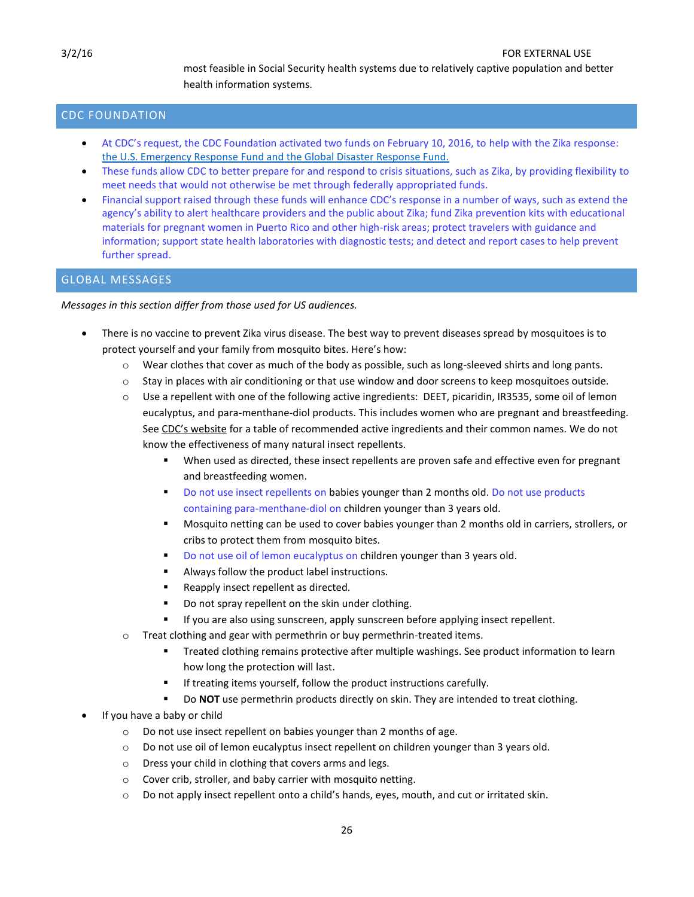most feasible in Social Security health systems due to relatively captive population and better health information systems.

# <span id="page-25-0"></span>CDC FOUNDATION

- At CDC's request, the CDC Foundation activated two funds on February 10, 2016, to help with the Zika response: [the U.S. Emergency Response Fund and the Global Disaster Response Fund.](http://www.cdcfoundation.org/zika-response)
- These funds allow CDC to better prepare for and respond to crisis situations, such as Zika, by providing flexibility to meet needs that would not otherwise be met through federally appropriated funds.
- Financial support raised through these funds will enhance CDC's response in a number of ways, such as extend the agency's ability to alert healthcare providers and the public about Zika; fund Zika prevention kits with educational materials for pregnant women in Puerto Rico and other high-risk areas; protect travelers with guidance and information; support state health laboratories with diagnostic tests; and detect and report cases to help prevent further spread.

# <span id="page-25-1"></span>GLOBAL MESSAGES

*Messages in this section differ from those used for US audiences.* 

- There is no vaccine to prevent Zika virus disease. The best way to prevent diseases spread by mosquitoes is to protect yourself and your family from mosquito bites. Here's how:
	- $\circ$  Wear clothes that cover as much of the body as possible, such as long-sleeved shirts and long pants.
	- $\circ$  Stay in places with air conditioning or that use window and door screens to keep mosquitoes outside.
	- o Use a repellent with one of the following active ingredients: DEET, picaridin, IR3535, some oil of lemon eucalyptus, and para-menthane-diol products. This includes women who are pregnant and breastfeeding. See [CDC's website](http://www.cdc.gov/zika/fs-posters/index.html) for a table of recommended active ingredients and their common names. We do not know the effectiveness of many natural insect repellents.
		- When used as directed, these insect repellents are proven safe and effective even for pregnant and breastfeeding women.
		- Do not use insect repellents on babies younger than 2 months old. Do not use products containing para-menthane-diol on children younger than 3 years old.
		- Mosquito netting can be used to cover babies younger than 2 months old in carriers, strollers, or cribs to protect them from mosquito bites.
		- Do not use oil of lemon eucalyptus on children younger than 3 years old.
		- Always follow the product label instructions.
		- Reapply insect repellent as directed.
		- Do not spray repellent on the skin under clothing.
		- If you are also using sunscreen, apply sunscreen before applying insect repellent.
	- o Treat clothing and gear with permethrin or buy permethrin-treated items.
		- **Treated clothing remains protective after multiple washings. See product information to learn** how long the protection will last.
		- **If treating items yourself, follow the product instructions carefully.**
		- Do **NOT** use permethrin products directly on skin. They are intended to treat clothing.
- If you have a baby or child
	- o Do not use insect repellent on babies younger than 2 months of age.
	- o Do not use oil of lemon eucalyptus insect repellent on children younger than 3 years old.
	- o Dress your child in clothing that covers arms and legs.
	- o Cover crib, stroller, and baby carrier with mosquito netting.
	- $\circ$  Do not apply insect repellent onto a child's hands, eyes, mouth, and cut or irritated skin.